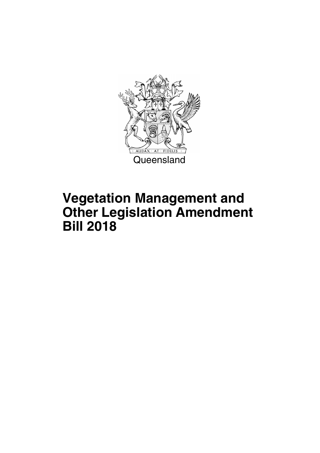

# **Vegetation Management and Other Legislation Amendment Bill 2018**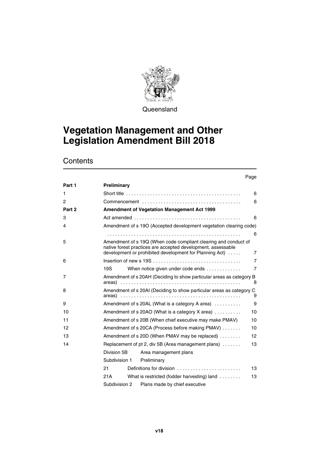

**Queensland** 

# **Vegetation Management and Other Legislation Amendment Bill 2018**

|        |               |               |                                                                                                                                                                                            | Page           |
|--------|---------------|---------------|--------------------------------------------------------------------------------------------------------------------------------------------------------------------------------------------|----------------|
| Part 1 | Preliminary   |               |                                                                                                                                                                                            |                |
| 1      |               |               |                                                                                                                                                                                            | 6              |
| 2      |               |               |                                                                                                                                                                                            | 6              |
| Part 2 |               |               | Amendment of Vegetation Management Act 1999                                                                                                                                                |                |
| 3      |               |               |                                                                                                                                                                                            | 6              |
| 4      |               |               | Amendment of s 19O (Accepted development vegetation clearing code)                                                                                                                         |                |
|        |               |               |                                                                                                                                                                                            | 6              |
| 5      |               |               | Amendment of s 19Q (When code compliant clearing and conduct of<br>native forest practices are accepted development, assessable<br>development or prohibited development for Planning Act) | 7              |
| 6      |               |               |                                                                                                                                                                                            | $\overline{7}$ |
|        | 19S           |               | When notice given under code ends                                                                                                                                                          | $\overline{7}$ |
| 7      |               |               | Amendment of s 20AH (Deciding to show particular areas as category B                                                                                                                       | 8              |
| 8      |               |               | Amendment of s 20AI (Deciding to show particular areas as category C                                                                                                                       | 9              |
| 9      |               |               | Amendment of s 20AL (What is a category A area)                                                                                                                                            | 9              |
| 10     |               |               | Amendment of s 20AO (What is a category X area) $\ldots \ldots \ldots$                                                                                                                     | 10             |
| 11     |               |               | Amendment of s 20B (When chief executive may make PMAV)                                                                                                                                    | 10             |
| 12     |               |               | Amendment of s 20CA (Process before making PMAV)                                                                                                                                           | 10             |
| 13     |               |               | Amendment of s 20D (When PMAV may be replaced)                                                                                                                                             | 12             |
| 14     |               |               | Replacement of pt 2, div 5B (Area management plans)                                                                                                                                        | 13             |
|        | Division 5B   |               | Area management plans                                                                                                                                                                      |                |
|        |               | Subdivision 1 | Preliminary                                                                                                                                                                                |                |
|        | 21            |               | Definitions for division                                                                                                                                                                   | 13             |
|        | 21A           |               | What is restricted (fodder harvesting) land                                                                                                                                                | 13             |
|        | Subdivision 2 |               | Plans made by chief executive                                                                                                                                                              |                |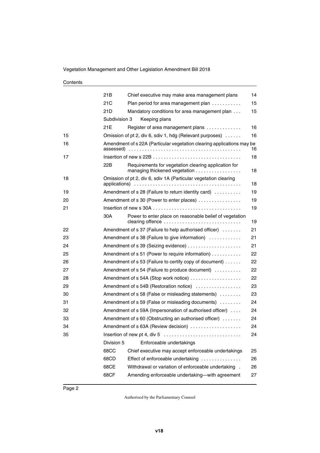|    | 21B           | Chief executive may make area management plans                                        | 14 |
|----|---------------|---------------------------------------------------------------------------------------|----|
|    | 21C           | Plan period for area management plan                                                  | 15 |
|    | 21D           | Mandatory conditions for area management plan                                         | 15 |
|    | Subdivision 3 | Keeping plans                                                                         |    |
|    | 21E           | Register of area management plans                                                     | 16 |
| 15 |               | Omission of pt 2, div 6, sdiv 1, hdg (Relevant purposes)                              | 16 |
| 16 | assessed)     | Amendment of s 22A (Particular vegetation clearing applications may be                | 16 |
| 17 |               |                                                                                       | 18 |
|    | 22B           | Requirements for vegetation clearing application for<br>managing thickened vegetation | 18 |
| 18 |               | Omission of pt 2, div 6, sdiv 1A (Particular vegetation clearing                      | 18 |
| 19 |               | Amendment of s 28 (Failure to return identity card)                                   | 19 |
| 20 |               | Amendment of s 30 (Power to enter places)                                             | 19 |
| 21 |               |                                                                                       | 19 |
|    | 30A           | Power to enter place on reasonable belief of vegetation                               | 19 |
| 22 |               | Amendment of $s$ 37 (Failure to help authorised officer) $\dots \dots$                | 21 |
| 23 |               | Amendment of s 38 (Failure to give information)                                       | 21 |
| 24 |               | Amendment of s 39 (Seizing evidence)                                                  | 21 |
| 25 |               | Amendment of s 51 (Power to require information)                                      | 22 |
| 26 |               | Amendment of s 53 (Failure to certify copy of document)                               | 22 |
| 27 |               | Amendment of s 54 (Failure to produce document)                                       | 22 |
| 28 |               | Amendment of s 54A (Stop work notice)                                                 | 22 |
| 29 |               | Amendment of s 54B (Restoration notice)                                               | 23 |
| 30 |               | Amendment of s 58 (False or misleading statements)                                    | 23 |
| 31 |               | Amendment of s 59 (False or misleading documents)                                     | 24 |
| 32 |               | Amendment of s 59A (Impersonation of authorised officer)                              | 24 |
| 33 |               | Amendment of $s 60$ (Obstructing an authorised officer) $\dots \dots$                 | 24 |
| 34 |               | Amendment of s 63A (Review decision)                                                  | 24 |
| 35 |               |                                                                                       | 24 |
|    | Division 5    | Enforceable undertakings                                                              |    |
|    | 68CC          | Chief executive may accept enforceable undertakings                                   | 25 |
|    | 68CD          | Effect of enforceable undertaking                                                     | 26 |
|    | 68CE          | Withdrawal or variation of enforceable undertaking.                                   | 26 |
|    | 68CF          | Amending enforceable undertaking-with agreement                                       | 27 |
|    |               |                                                                                       |    |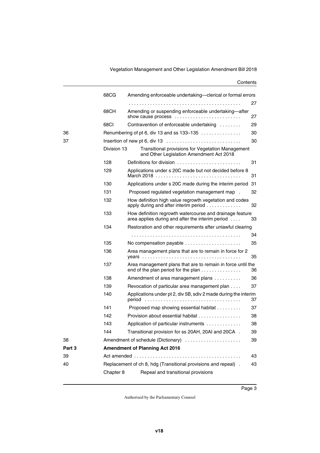Vegetation Management and Other Legislation Amendment Bill 2018

|        | 68CG        | Amending enforceable undertaking-clerical or formal errors                                                   |    |
|--------|-------------|--------------------------------------------------------------------------------------------------------------|----|
|        |             |                                                                                                              | 27 |
|        | 68CH        | Amending or suspending enforceable undertaking-after<br>show cause process                                   | 27 |
|        | 68CI        | Contravention of enforceable undertaking                                                                     | 29 |
| 36     |             | Renumbering of pt 6, div 13 and ss 133-135                                                                   | 30 |
| 37     |             |                                                                                                              | 30 |
|        | Division 13 | Transitional provisions for Vegetation Management<br>and Other Legislation Amendment Act 2018                |    |
|        | 128         | Definitions for division                                                                                     | 31 |
|        | 129         | Applications under s 20C made but not decided before 8                                                       | 31 |
|        | 130         | Applications under s 20C made during the interim period 31                                                   |    |
|        | 131         | Proposed regulated vegetation management map.                                                                | 32 |
|        | 132         | How definition high value regrowth vegetation and codes<br>apply during and after interim period             | 32 |
|        | 133         | How definition regrowth watercourse and drainage feature<br>area applies during and after the interim period | 33 |
|        | 134         | Restoration and other requirements after unlawful clearing                                                   |    |
|        |             |                                                                                                              | 34 |
|        | 135         | No compensation payable                                                                                      | 35 |
|        | 136         | Area management plans that are to remain in force for 2                                                      | 35 |
|        | 137         | Area management plans that are to remain in force until the<br>end of the plan period for the plan           | 36 |
|        | 138         | Amendment of area management plans                                                                           | 36 |
|        | 139         | Revocation of particular area management plan                                                                | 37 |
|        | 140         | Applications under pt 2, div 5B, sdiv 2 made during the interim<br>period                                    | 37 |
|        | 141         | Proposed map showing essential habitat                                                                       | 37 |
|        | 142         | Provision about essential habitat                                                                            | 38 |
|        | 143         | Application of particular instruments                                                                        | 38 |
|        | 144         | Transitional provision for ss 20AH, 20AI and 20CA.                                                           | 39 |
| 38     |             | Amendment of schedule (Dictionary)                                                                           | 39 |
| Part 3 |             | <b>Amendment of Planning Act 2016</b>                                                                        |    |
| 39     |             |                                                                                                              | 43 |
| 40     |             | Replacement of ch 8, hdg (Transitional provisions and repeal).                                               | 43 |
|        | Chapter 8   | Repeal and transitional provisions                                                                           |    |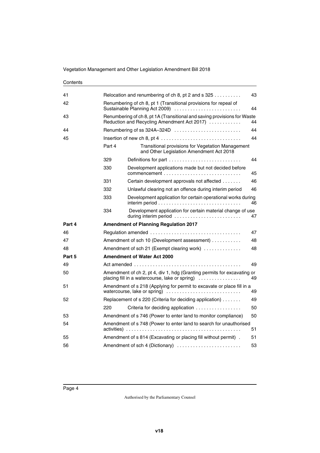| 41     |        | Relocation and renumbering of ch 8, pt 2 and $s$ 325                                                                          | 43 |  |
|--------|--------|-------------------------------------------------------------------------------------------------------------------------------|----|--|
| 42     |        | Renumbering of ch 8, pt 1 (Transitional provisions for repeal of<br>Sustainable Planning Act 2009)<br>44                      |    |  |
| 43     |        | Renumbering of ch 8, pt 1A (Transitional and saving provisions for Waste<br>Reduction and Recycling Amendment Act 2017)<br>44 |    |  |
| 44     |        | Renumbering of ss 324A-324D                                                                                                   | 44 |  |
| 45     |        |                                                                                                                               | 44 |  |
|        | Part 4 | Transitional provisions for Vegetation Management<br>and Other Legislation Amendment Act 2018                                 |    |  |
|        | 329    | Definitions for part $\ldots \ldots \ldots \ldots \ldots \ldots \ldots \ldots$                                                | 44 |  |
|        | 330    | Development applications made but not decided before                                                                          | 45 |  |
|        | 331    | Certain development approvals not affected                                                                                    | 46 |  |
|        | 332    | Unlawful clearing not an offence during interim period                                                                        | 46 |  |
|        | 333    | Development application for certain operational works during                                                                  | 46 |  |
|        | 334    | Development application for certain material change of use<br>during interim period                                           | 47 |  |
| Part 4 |        | <b>Amendment of Planning Regulation 2017</b>                                                                                  |    |  |
| 46     |        |                                                                                                                               | 47 |  |
| 47     |        | Amendment of sch 10 (Development assessment)                                                                                  | 48 |  |
| 48     |        | Amendment of sch 21 (Exempt clearing work)                                                                                    | 48 |  |
| Part 5 |        | Amendment of Water Act 2000                                                                                                   |    |  |
| 49     |        |                                                                                                                               | 49 |  |
| 50     |        | Amendment of ch 2, pt 4, div 1, hdg (Granting permits for excavating or<br>placing fill in a watercourse, lake or spring)     | 49 |  |
| 51     |        | Amendment of s 218 (Applying for permit to excavate or place fill in a<br>watercourse, lake or spring)                        | 49 |  |
| 52     |        | Replacement of s 220 (Criteria for deciding application)                                                                      | 49 |  |
|        | 220    | Criteria for deciding application                                                                                             | 50 |  |
| 53     |        | Amendment of s 746 (Power to enter land to monitor compliance)                                                                | 50 |  |
| 54     |        | Amendment of s 748 (Power to enter land to search for unauthorised                                                            |    |  |
|        |        |                                                                                                                               | 51 |  |
| 55     |        | Amendment of s 814 (Excavating or placing fill without permit).                                                               | 51 |  |
| 56     |        | Amendment of sch 4 (Dictionary)                                                                                               | 53 |  |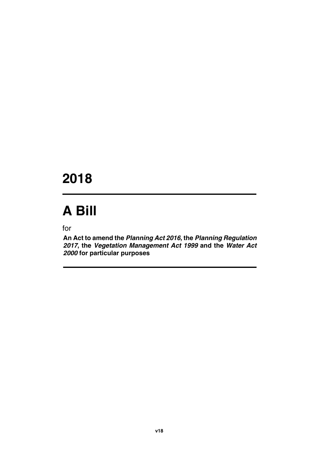# **2018**

# **A Bill**

for

**An Act to amend the** *Planning Act 2016***, the** *Planning Regulation 2017***, the** *Vegetation Management Act 1999* **and the** *Water Act 2000* **for particular purposes**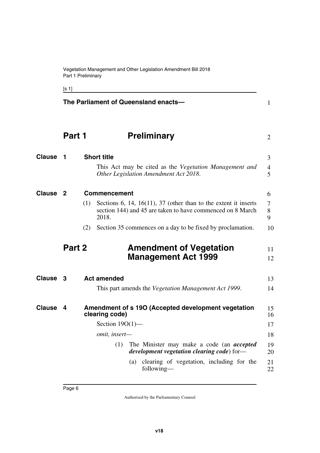<span id="page-7-7"></span><span id="page-7-3"></span><span id="page-7-1"></span>[s 1]

<span id="page-7-11"></span><span id="page-7-10"></span><span id="page-7-9"></span><span id="page-7-8"></span><span id="page-7-6"></span><span id="page-7-5"></span><span id="page-7-4"></span><span id="page-7-2"></span><span id="page-7-0"></span>

|               | The Parliament of Queensland enacts- |                                                                                                                                                                      |                     |  |  |  |
|---------------|--------------------------------------|----------------------------------------------------------------------------------------------------------------------------------------------------------------------|---------------------|--|--|--|
|               | Part 1                               | <b>Preliminary</b>                                                                                                                                                   | 2                   |  |  |  |
| <b>Clause</b> | 1                                    | <b>Short title</b><br>This Act may be cited as the Vegetation Management and                                                                                         | 3<br>$\overline{4}$ |  |  |  |
|               |                                      | Other Legislation Amendment Act 2018.                                                                                                                                | 5                   |  |  |  |
| <b>Clause</b> | -2                                   | <b>Commencement</b><br>Sections 6, 14, 16(11), 37 (other than to the extent it inserts<br>(1)<br>section 144) and 45 are taken to have commenced on 8 March<br>2018. | 6<br>7<br>8<br>9    |  |  |  |
|               |                                      | Section 35 commences on a day to be fixed by proclamation.<br>(2)                                                                                                    | 10                  |  |  |  |
|               | Part 2                               | <b>Amendment of Vegetation</b><br><b>Management Act 1999</b>                                                                                                         | 11<br>12            |  |  |  |
| <b>Clause</b> | 3                                    | <b>Act amended</b>                                                                                                                                                   | 13                  |  |  |  |
|               |                                      | This part amends the Vegetation Management Act 1999.                                                                                                                 | 14                  |  |  |  |
| <b>Clause</b> | 4                                    | Amendment of s 190 (Accepted development vegetation<br>clearing code)                                                                                                | 15<br>16            |  |  |  |
|               |                                      | Section $19O(1)$ —                                                                                                                                                   | 17                  |  |  |  |
|               |                                      | omit, insert-                                                                                                                                                        | 18                  |  |  |  |
|               |                                      | (1)<br>The Minister may make a code (an <i>accepted</i><br>development vegetation clearing code) for-                                                                | 19<br>20            |  |  |  |
|               |                                      | clearing of vegetation, including for the<br>(a)<br>following—                                                                                                       | 21<br>22            |  |  |  |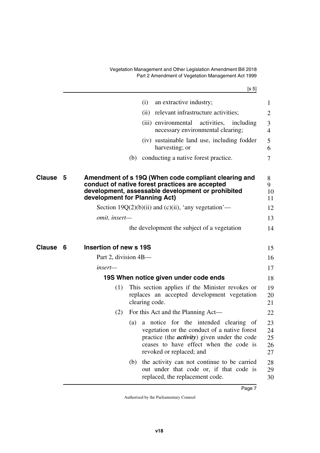Vegetation Management and Other Legislation Amendment Bill 2018 Part 2 Amendment of Vegetation Management Act 1999

[s 5]

<span id="page-8-5"></span><span id="page-8-4"></span><span id="page-8-3"></span><span id="page-8-2"></span><span id="page-8-1"></span><span id="page-8-0"></span>

|        |    |                               | (i)            | an extractive industry;                                                                                                                                                                                             | 1                          |
|--------|----|-------------------------------|----------------|---------------------------------------------------------------------------------------------------------------------------------------------------------------------------------------------------------------------|----------------------------|
|        |    |                               |                | (ii) relevant infrastructure activities;                                                                                                                                                                            | $\overline{2}$             |
|        |    |                               |                | (iii) environmental<br>activities,<br>including<br>necessary environmental clearing;                                                                                                                                | 3<br>$\overline{4}$        |
|        |    |                               |                | (iv) sustainable land use, including fodder<br>harvesting; or                                                                                                                                                       | 5<br>6                     |
|        |    |                               | (b)            | conducting a native forest practice.                                                                                                                                                                                | 7                          |
| Clause | -5 | development for Planning Act) |                | Amendment of s 19Q (When code compliant clearing and<br>conduct of native forest practices are accepted<br>development, assessable development or prohibited                                                        | 8<br>9<br>10<br>11         |
|        |    |                               |                | Section 19 $Q(2)(b)(ii)$ and (c)(ii), 'any vegetation'—                                                                                                                                                             | 12                         |
|        |    | omit, insert-                 |                |                                                                                                                                                                                                                     | 13                         |
|        |    |                               |                | the development the subject of a vegetation                                                                                                                                                                         | 14                         |
| Clause | 6  | Insertion of new s 19S        |                |                                                                                                                                                                                                                     | 15                         |
|        |    | Part 2, division 4B—          |                |                                                                                                                                                                                                                     | 16                         |
|        |    | insert—                       |                |                                                                                                                                                                                                                     | 17                         |
|        |    |                               |                | 19S When notice given under code ends                                                                                                                                                                               | 18                         |
|        |    | (1)                           | clearing code. | This section applies if the Minister revokes or<br>replaces an accepted development vegetation                                                                                                                      | 19<br>20<br>21             |
|        |    | (2)                           |                | For this Act and the Planning Act—                                                                                                                                                                                  | 22                         |
|        |    |                               | (a)            | a notice for the intended clearing of<br>vegetation or the conduct of a native forest<br>practice (the <i>activity</i> ) given under the code<br>ceases to have effect when the code is<br>revoked or replaced; and | 23<br>24<br>25<br>26<br>27 |
|        |    |                               | (b)            | the activity can not continue to be carried<br>out under that code or, if that code is<br>replaced, the replacement code.                                                                                           | 28<br>29<br>30             |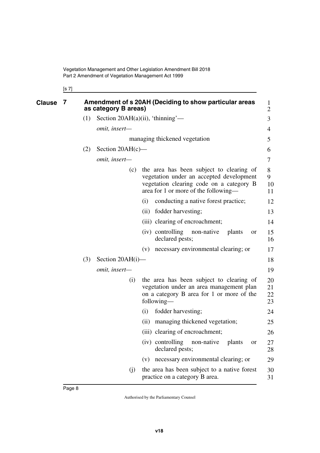<span id="page-9-1"></span><span id="page-9-0"></span>

| <b>Clause</b><br>7 |     | as category B areas) | Amendment of s 20AH (Deciding to show particular areas                                                                                                                   | $\mathbf{1}$<br>$\overline{2}$ |
|--------------------|-----|----------------------|--------------------------------------------------------------------------------------------------------------------------------------------------------------------------|--------------------------------|
|                    | (1) |                      | Section 20AH(a)(ii), 'thinning'—                                                                                                                                         | 3                              |
|                    |     | omit, insert-        |                                                                                                                                                                          | 4                              |
|                    |     |                      | managing thickened vegetation                                                                                                                                            | 5                              |
|                    | (2) | Section $20AH(c)$ —  |                                                                                                                                                                          | 6                              |
|                    |     | omit, insert-        |                                                                                                                                                                          | 7                              |
|                    |     | (c)                  | the area has been subject to clearing of<br>vegetation under an accepted development<br>vegetation clearing code on a category B<br>area for 1 or more of the following— | 8<br>9<br>10<br>11             |
|                    |     |                      | conducting a native forest practice;<br>(i)                                                                                                                              | 12                             |
|                    |     |                      | (ii) fodder harvesting;                                                                                                                                                  | 13                             |
|                    |     |                      | (iii) clearing of encroachment;                                                                                                                                          | 14                             |
|                    |     |                      | (iv) controlling<br>non-native<br>plants<br>or<br>declared pests;                                                                                                        | 15<br>16                       |
|                    |     |                      | (v) necessary environmental clearing; or                                                                                                                                 | 17                             |
|                    | (3) | Section $20AH(i)$ —  |                                                                                                                                                                          | 18                             |
|                    |     | omit, insert-        |                                                                                                                                                                          | 19                             |
|                    |     | (i)                  | the area has been subject to clearing of<br>vegetation under an area management plan<br>on a category B area for 1 or more of the<br>following—                          | 20<br>21<br>22<br>23           |
|                    |     |                      | fodder harvesting;<br>(i)                                                                                                                                                | 24                             |
|                    |     |                      | managing thickened vegetation;<br>(ii)                                                                                                                                   | 25                             |
|                    |     |                      | (iii) clearing of encroachment;                                                                                                                                          | 26                             |
|                    |     |                      | (iv) controlling<br>plants<br>non-native<br>or<br>declared pests;                                                                                                        | 27<br>28                       |
|                    |     |                      | (v) necessary environmental clearing; or                                                                                                                                 | 29                             |
|                    |     | (j)                  | the area has been subject to a native forest<br>practice on a category B area.                                                                                           | 30<br>31                       |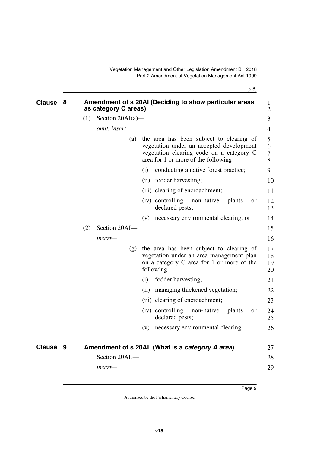[s 8]

<span id="page-10-3"></span><span id="page-10-2"></span><span id="page-10-1"></span><span id="page-10-0"></span>

| <b>Clause</b> | 8 | Amendment of s 20AI (Deciding to show particular areas<br>as category C areas) |                     |                                                                                                                                                                          |                      |  |  |
|---------------|---|--------------------------------------------------------------------------------|---------------------|--------------------------------------------------------------------------------------------------------------------------------------------------------------------------|----------------------|--|--|
|               |   | (1)                                                                            | Section $20AI(a)$ — |                                                                                                                                                                          | 3                    |  |  |
|               |   |                                                                                | omit, insert-       |                                                                                                                                                                          | 4                    |  |  |
|               |   |                                                                                | (a)                 | the area has been subject to clearing of<br>vegetation under an accepted development<br>vegetation clearing code on a category C<br>area for 1 or more of the following— | 5<br>6<br>7<br>8     |  |  |
|               |   |                                                                                |                     | conducting a native forest practice;<br>(i)                                                                                                                              | 9                    |  |  |
|               |   |                                                                                |                     | (ii) fodder harvesting;                                                                                                                                                  | 10                   |  |  |
|               |   |                                                                                |                     | (iii) clearing of encroachment;                                                                                                                                          | 11                   |  |  |
|               |   |                                                                                |                     | (iv) controlling<br>non-native<br>plants<br><b>or</b><br>declared pests;                                                                                                 | 12<br>13             |  |  |
|               |   |                                                                                |                     | (v) necessary environmental clearing; or                                                                                                                                 | 14                   |  |  |
|               |   | (2)                                                                            | Section 20AI-       |                                                                                                                                                                          | 15                   |  |  |
|               |   |                                                                                | insert-             |                                                                                                                                                                          | 16                   |  |  |
|               |   |                                                                                | (g)                 | the area has been subject to clearing of<br>vegetation under an area management plan<br>on a category C area for 1 or more of the<br>following-                          | 17<br>18<br>19<br>20 |  |  |
|               |   |                                                                                |                     | fodder harvesting;<br>(i)                                                                                                                                                | 21                   |  |  |
|               |   |                                                                                |                     | (ii) managing thickened vegetation;                                                                                                                                      | 22                   |  |  |
|               |   |                                                                                |                     | (iii) clearing of encroachment;                                                                                                                                          | 23                   |  |  |
|               |   |                                                                                |                     | (iv) controlling<br>non-native<br>plants<br><b>or</b><br>declared pests;                                                                                                 | 24<br>25             |  |  |
|               |   |                                                                                |                     | necessary environmental clearing.<br>(V)                                                                                                                                 | 26                   |  |  |
| <b>Clause</b> | 9 |                                                                                |                     | Amendment of s 20AL (What is a category A area)                                                                                                                          | 27                   |  |  |
|               |   |                                                                                | Section 20AL-       |                                                                                                                                                                          | 28                   |  |  |
|               |   |                                                                                | insert—             |                                                                                                                                                                          | 29                   |  |  |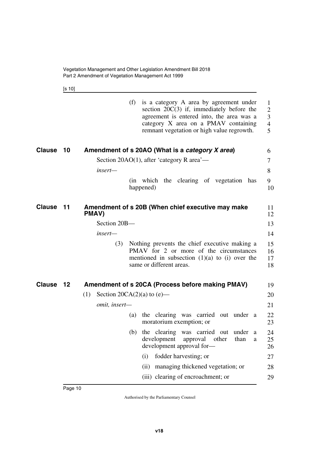<span id="page-11-1"></span>[s 10]

<span id="page-11-5"></span><span id="page-11-4"></span><span id="page-11-3"></span><span id="page-11-2"></span><span id="page-11-0"></span>

|               |    | (f)<br>is a category A area by agreement under<br>section $20C(3)$ if, immediately before the<br>agreement is entered into, the area was a<br>category X area on a PMAV containing<br>remnant vegetation or high value regrowth. | $\mathbf{1}$<br>$\overline{2}$<br>3<br>$\overline{4}$<br>5 |
|---------------|----|----------------------------------------------------------------------------------------------------------------------------------------------------------------------------------------------------------------------------------|------------------------------------------------------------|
| <b>Clause</b> | 10 | Amendment of s 20AO (What is a category X area)                                                                                                                                                                                  | 6                                                          |
|               |    | Section 20AO(1), after 'category R area'—                                                                                                                                                                                        | 7                                                          |
|               |    | insert—                                                                                                                                                                                                                          | 8                                                          |
|               |    | (in which the clearing of vegetation has<br>happened)                                                                                                                                                                            | 9<br>10                                                    |
| <b>Clause</b> | 11 | Amendment of s 20B (When chief executive may make<br>PMAV)                                                                                                                                                                       | 11<br>12                                                   |
|               |    | Section 20B-                                                                                                                                                                                                                     | 13                                                         |
|               |    | insert-                                                                                                                                                                                                                          | 14                                                         |
|               |    | Nothing prevents the chief executive making a<br>(3)<br>PMAV for 2 or more of the circumstances<br>mentioned in subsection $(1)(a)$ to $(i)$ over the<br>same or different areas.                                                | 15<br>16<br>17<br>18                                       |
| <b>Clause</b> | 12 | Amendment of s 20CA (Process before making PMAV)                                                                                                                                                                                 | 19                                                         |
|               |    | Section 20CA $(2)(a)$ to $(e)$ —<br>(1)                                                                                                                                                                                          | 20                                                         |
|               |    | omit, insert-                                                                                                                                                                                                                    | 21                                                         |
|               |    | the clearing was carried out under a<br>(a)<br>moratorium exemption; or                                                                                                                                                          | 22<br>23                                                   |
|               |    | (b) the clearing was carried out under a<br>development approval other than<br>development approval for-                                                                                                                         | 24<br>25<br>26                                             |
|               |    | fodder harvesting; or<br>(i)                                                                                                                                                                                                     | 27                                                         |
|               |    | managing thickened vegetation; or<br>(ii)                                                                                                                                                                                        | 28                                                         |
|               |    | (iii) clearing of encroachment; or                                                                                                                                                                                               | 29                                                         |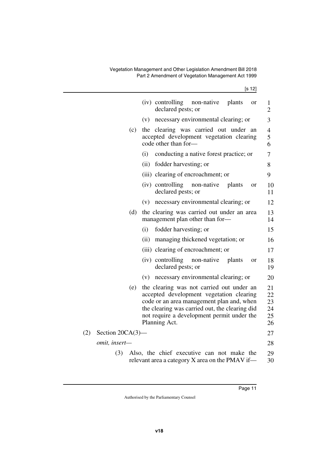|     |                     |     | (iv) controlling<br>non-native<br>plants<br>or<br>declared pests; or                                                                                                                                                                                | 1<br>$\overline{2}$              |
|-----|---------------------|-----|-----------------------------------------------------------------------------------------------------------------------------------------------------------------------------------------------------------------------------------------------------|----------------------------------|
|     |                     |     | necessary environmental clearing; or<br>(v)                                                                                                                                                                                                         | 3                                |
|     |                     | (c) | the clearing was carried out under an<br>accepted development vegetation clearing<br>code other than for-                                                                                                                                           | $\overline{4}$<br>5<br>6         |
|     |                     |     | conducting a native forest practice; or<br>(i)                                                                                                                                                                                                      | 7                                |
|     |                     |     | (ii)<br>fodder harvesting; or                                                                                                                                                                                                                       | 8                                |
|     |                     |     | (iii) clearing of encroachment; or                                                                                                                                                                                                                  | 9                                |
|     |                     |     | (iv) controlling<br>non-native<br>plants<br>or<br>declared pests; or                                                                                                                                                                                | 10<br>11                         |
|     |                     |     | necessary environmental clearing; or<br>(v)                                                                                                                                                                                                         | 12                               |
|     |                     | (d) | the clearing was carried out under an area<br>management plan other than for-                                                                                                                                                                       | 13<br>14                         |
|     |                     |     | fodder harvesting; or<br>(i)                                                                                                                                                                                                                        | 15                               |
|     |                     |     | managing thickened vegetation; or<br>(ii)                                                                                                                                                                                                           | 16                               |
|     |                     |     | (iii) clearing of encroachment; or                                                                                                                                                                                                                  | 17                               |
|     |                     |     | (iv) controlling<br>non-native<br>plants<br>or<br>declared pests; or                                                                                                                                                                                | 18<br>19                         |
|     |                     |     | necessary environmental clearing; or<br>(v)                                                                                                                                                                                                         | 20                               |
|     |                     | (e) | the clearing was not carried out under an<br>accepted development vegetation clearing<br>code or an area management plan and, when<br>the clearing was carried out, the clearing did<br>not require a development permit under the<br>Planning Act. | 21<br>22<br>23<br>24<br>25<br>26 |
| (2) | Section $20CA(3)$ — |     |                                                                                                                                                                                                                                                     | 27                               |
|     | omit, insert-       |     |                                                                                                                                                                                                                                                     | 28                               |
|     | (3)                 |     | Also, the chief executive can not make the<br>relevant area a category X area on the PMAV if—                                                                                                                                                       | 29<br>30                         |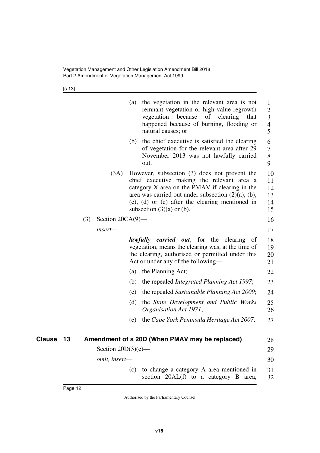[s 13]

|    |     |                       | (a) | the vegetation in the relevant area is not<br>remnant vegetation or high value regrowth<br>of clearing<br>vegetation<br>because<br>that<br>happened because of burning, flooding or<br>natural causes; or                                                                                            | $\mathbf{1}$<br>2<br>3<br>4<br>5 |
|----|-----|-----------------------|-----|------------------------------------------------------------------------------------------------------------------------------------------------------------------------------------------------------------------------------------------------------------------------------------------------------|----------------------------------|
|    |     |                       | (b) | the chief executive is satisfied the clearing<br>of vegetation for the relevant area after 29<br>November 2013 was not lawfully carried<br>out.                                                                                                                                                      | 6<br>7<br>8<br>9                 |
|    |     | (3A)                  |     | However, subsection (3) does not prevent the<br>chief executive making the relevant area a<br>category X area on the PMAV if clearing in the<br>area was carried out under subsection $(2)(a)$ , $(b)$ ,<br>$(c)$ , $(d)$ or $(e)$ after the clearing mentioned in<br>subsection $(3)(a)$ or $(b)$ . | 10<br>11<br>12<br>13<br>14<br>15 |
|    | (3) | Section $20CA(9)$ —   |     |                                                                                                                                                                                                                                                                                                      | 16                               |
|    |     | insert-               |     |                                                                                                                                                                                                                                                                                                      | 17                               |
|    |     |                       |     | <i>lawfully carried out</i> , for the clearing<br><sub>of</sub><br>vegetation, means the clearing was, at the time of<br>the clearing, authorised or permitted under this<br>Act or under any of the following—                                                                                      | 18<br>19<br>20<br>21             |
|    |     |                       | (a) | the Planning Act;                                                                                                                                                                                                                                                                                    | 22                               |
|    |     |                       | (b) | the repealed Integrated Planning Act 1997;                                                                                                                                                                                                                                                           | 23                               |
|    |     |                       | (c) | the repealed Sustainable Planning Act 2009;                                                                                                                                                                                                                                                          | 24                               |
|    |     |                       | (d) | the State Development and Public Works<br>Organisation Act 1971;                                                                                                                                                                                                                                     | 25<br>26                         |
|    |     |                       | (e) | the Cape York Peninsula Heritage Act 2007.                                                                                                                                                                                                                                                           | 27                               |
|    |     |                       |     |                                                                                                                                                                                                                                                                                                      |                                  |
| 13 |     |                       |     | Amendment of s 20D (When PMAV may be replaced)                                                                                                                                                                                                                                                       | 28                               |
|    |     | Section $20D(3)(c)$ — |     |                                                                                                                                                                                                                                                                                                      | 29                               |
|    |     | omit, insert-         |     |                                                                                                                                                                                                                                                                                                      | 30                               |
|    |     |                       | (c) | to change a category A area mentioned in<br>section 20AL(f) to a category B<br>area,                                                                                                                                                                                                                 | 31<br>32                         |

<span id="page-13-1"></span><span id="page-13-0"></span>**Clause** 13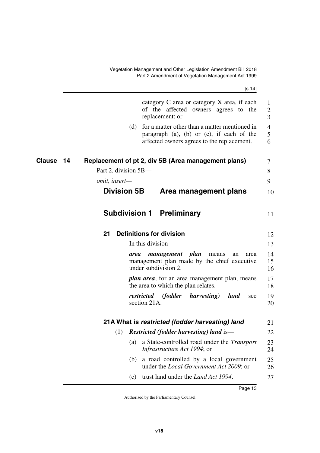<span id="page-14-9"></span><span id="page-14-8"></span><span id="page-14-7"></span><span id="page-14-6"></span><span id="page-14-5"></span><span id="page-14-4"></span><span id="page-14-3"></span><span id="page-14-2"></span><span id="page-14-1"></span><span id="page-14-0"></span>

|              | [s 14]                                                                                                                                                  |                          |
|--------------|---------------------------------------------------------------------------------------------------------------------------------------------------------|--------------------------|
|              | category C area or category X area, if each<br>of the affected owners agrees to the<br>replacement; or                                                  | $\mathbf{1}$<br>2<br>3   |
|              | for a matter other than a matter mentioned in<br>(d)<br>paragraph $(a)$ , $(b)$ or $(c)$ , if each of the<br>affected owners agrees to the replacement. | $\overline{4}$<br>5<br>6 |
| Clause<br>14 | Replacement of pt 2, div 5B (Area management plans)                                                                                                     | 7                        |
|              | Part 2, division 5B—                                                                                                                                    | 8                        |
|              | omit, insert-                                                                                                                                           | 9                        |
|              | <b>Division 5B</b><br>Area management plans                                                                                                             | 10                       |
|              | <b>Subdivision 1 Preliminary</b>                                                                                                                        | 11                       |
|              | <b>Definitions for division</b><br>21                                                                                                                   | 12                       |
|              | In this division—                                                                                                                                       | 13                       |
|              | management plan<br>means<br>area<br>area<br>an<br>management plan made by the chief executive<br>under subdivision 2.                                   | 14<br>15<br>16           |
|              | <i>plan area</i> , for an area management plan, means<br>the area to which the plan relates.                                                            | 17<br>18                 |
|              | restricted (fodder<br>harvesting)<br>land<br>see<br>section 21A.                                                                                        | 19<br>20                 |
|              | 21A What is restricted (fodder harvesting) land                                                                                                         | 21                       |
|              | <b>Restricted (fodder harvesting) land is—</b><br>(1)                                                                                                   | 22                       |
|              | a State-controlled road under the <i>Transport</i><br>(a)<br>Infrastructure Act 1994; or                                                                | 23<br>24                 |
|              | a road controlled by a local government<br>(b)<br>under the <i>Local Government Act 2009</i> ; or                                                       | 25<br>26                 |
|              | trust land under the <i>Land Act 1994</i> .<br>(c)                                                                                                      | 27                       |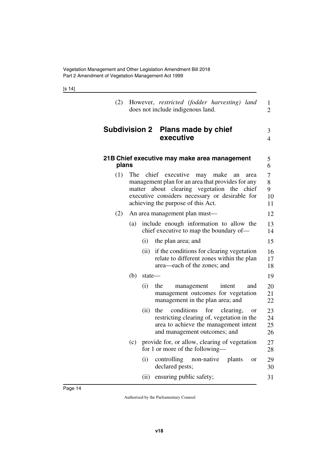[s 14]

<span id="page-15-1"></span>

|  |                                   | (2) However, restricted (fodder harvesting) land |  |
|--|-----------------------------------|--------------------------------------------------|--|
|  | does not include indigenous land. |                                                  |  |

## <span id="page-15-0"></span>**Subdivision 2 Plans made by chief executive**

### 3

4

<span id="page-15-3"></span><span id="page-15-2"></span>

| plans |     |        | 21B Chief executive may make area management                                                                                                                                                                                             | 5<br>6                  |
|-------|-----|--------|------------------------------------------------------------------------------------------------------------------------------------------------------------------------------------------------------------------------------------------|-------------------------|
| (1)   |     |        | The chief executive<br>may make<br>an<br>area<br>management plan for an area that provides for any<br>matter about clearing vegetation the chief<br>executive considers necessary or desirable for<br>achieving the purpose of this Act. | 7<br>8<br>9<br>10<br>11 |
| (2)   |     |        | An area management plan must—                                                                                                                                                                                                            | 12                      |
|       | (a) |        | include enough information to allow the<br>chief executive to map the boundary of—                                                                                                                                                       | 13<br>14                |
|       |     | (i)    | the plan area; and                                                                                                                                                                                                                       | 15                      |
|       |     | (ii)   | if the conditions for clearing vegetation<br>relate to different zones within the plan<br>area—each of the zones; and                                                                                                                    | 16<br>17<br>18          |
|       | (b) | state- |                                                                                                                                                                                                                                          | 19                      |
|       |     | (i)    | the<br>management<br>intent<br>and<br>management outcomes for vegetation<br>management in the plan area; and                                                                                                                             | 20<br>21<br>22          |
|       |     | (ii)   | conditions<br>for<br>clearing,<br>the<br><b>or</b><br>restricting clearing of, vegetation in the<br>area to achieve the management intent<br>and management outcomes; and                                                                | 23<br>24<br>25<br>26    |
|       | (c) |        | provide for, or allow, clearing of vegetation<br>for 1 or more of the following—                                                                                                                                                         | 27<br>28                |
|       |     | (i)    | controlling non-native plants<br><b>or</b><br>declared pests;                                                                                                                                                                            | 29<br>30                |
|       |     |        | (ii) ensuring public safety;                                                                                                                                                                                                             | 31                      |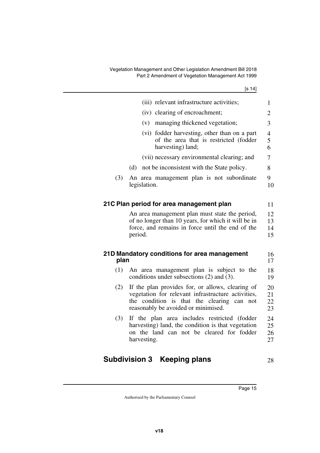<span id="page-16-1"></span><span id="page-16-0"></span>

|      | (iii) relevant infrastructure activities;                                                                                                                                                         | $\mathbf{1}$                       |
|------|---------------------------------------------------------------------------------------------------------------------------------------------------------------------------------------------------|------------------------------------|
|      | (iv) clearing of encroachment;                                                                                                                                                                    | $\overline{2}$                     |
|      | managing thickened vegetation;<br>(v)                                                                                                                                                             | 3                                  |
|      | fodder harvesting, other than on a part<br>(vi)<br>of the area that is restricted (fodder<br>harvesting) land;                                                                                    | $\overline{\mathcal{A}}$<br>5<br>6 |
|      | (vii) necessary environmental clearing; and                                                                                                                                                       | 7                                  |
|      | (d)<br>not be inconsistent with the State policy.                                                                                                                                                 | 8                                  |
| (3)  | An area management plan is not subordinate<br>legislation.                                                                                                                                        | 9<br>10                            |
|      | 21C Plan period for area management plan                                                                                                                                                          | 11                                 |
|      | An area management plan must state the period,<br>of no longer than 10 years, for which it will be in<br>force, and remains in force until the end of the<br>period.                              | 12<br>13<br>14<br>15               |
| plan | 21D Mandatory conditions for area management                                                                                                                                                      | 16<br>17                           |
| (1)  | An area management plan is subject to the<br>conditions under subsections $(2)$ and $(3)$ .                                                                                                       | 18<br>19                           |
| (2)  | If the plan provides for, or allows, clearing of<br>vegetation for relevant infrastructure activities,<br>the condition is that the clearing<br>can<br>not<br>reasonably be avoided or minimised. | 20<br>21<br>22<br>23               |
| (3)  | If the plan area includes restricted (fodder<br>harvesting) land, the condition is that vegetation<br>on the land can not be cleared for fodder<br>harvesting.                                    | 24<br>25<br>26<br>27               |
|      |                                                                                                                                                                                                   |                                    |

# <span id="page-16-5"></span><span id="page-16-4"></span><span id="page-16-3"></span><span id="page-16-2"></span>**Subdivision 3 Keeping plans**

28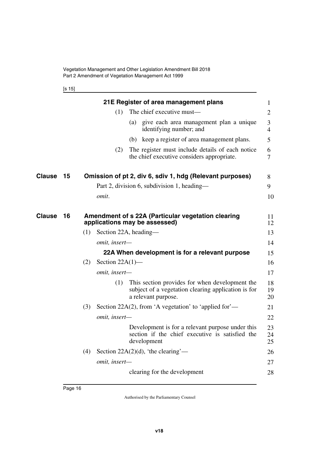<span id="page-17-3"></span><span id="page-17-1"></span><span id="page-17-0"></span>

| ۰. | ×<br>۰, |
|----|---------|
|----|---------|

<span id="page-17-5"></span><span id="page-17-4"></span><span id="page-17-2"></span>

|        |    |     |                       |     | 21E Register of area management plans                                                                                        | 1              |
|--------|----|-----|-----------------------|-----|------------------------------------------------------------------------------------------------------------------------------|----------------|
|        |    |     | (1)                   |     | The chief executive must—                                                                                                    | 2              |
|        |    |     |                       |     | (a) give each area management plan a unique<br>identifying number; and                                                       | 3<br>4         |
|        |    |     |                       | (b) | keep a register of area management plans.                                                                                    | 5              |
|        |    |     | (2)                   |     | The register must include details of each notice<br>the chief executive considers appropriate.                               | 6<br>7         |
| Clause | 15 |     |                       |     | Omission of pt 2, div 6, sdiv 1, hdg (Relevant purposes)                                                                     | 8              |
|        |    |     |                       |     | Part 2, division 6, subdivision 1, heading—                                                                                  | 9              |
|        |    |     | omit.                 |     |                                                                                                                              | 10             |
| Clause | 16 |     |                       |     | Amendment of s 22A (Particular vegetation clearing<br>applications may be assessed)                                          | 11<br>12       |
|        |    | (1) | Section 22A, heading— |     |                                                                                                                              | 13             |
|        |    |     | omit, insert-         |     |                                                                                                                              | 14             |
|        |    |     |                       |     | 22A When development is for a relevant purpose                                                                               | 15             |
|        |    | (2) | Section $22A(1)$ —    |     |                                                                                                                              | 16             |
|        |    |     | omit, insert-         |     |                                                                                                                              | 17             |
|        |    |     | (1)                   |     | This section provides for when development the<br>subject of a vegetation clearing application is for<br>a relevant purpose. | 18<br>19<br>20 |
|        |    | (3) |                       |     | Section 22A(2), from 'A vegetation' to 'applied for'—                                                                        | 21             |
|        |    |     | omit, insert-         |     |                                                                                                                              | 22             |
|        |    |     |                       |     | Development is for a relevant purpose under this<br>section if the chief executive is satisfied the<br>development           | 23<br>24<br>25 |
|        |    | (4) |                       |     | Section 22A $(2)(d)$ , 'the clearing'—                                                                                       | 26             |
|        |    |     | omit, insert-         |     |                                                                                                                              | 27             |
|        |    |     |                       |     | clearing for the development                                                                                                 | 28             |
|        |    |     |                       |     |                                                                                                                              |                |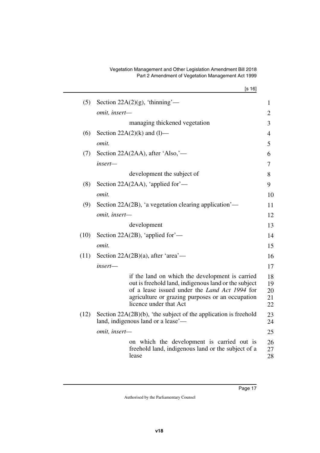#### Vegetation Management and Other Legislation Amendment Bill 2018 Part 2 Amendment of Vegetation Management Act 1999

|      | [s 16]                                                                                                                                                                                                                                        |                            |
|------|-----------------------------------------------------------------------------------------------------------------------------------------------------------------------------------------------------------------------------------------------|----------------------------|
| (5)  | Section 22A $(2)(g)$ , 'thinning'—                                                                                                                                                                                                            | $\mathbf{1}$               |
|      | omit, insert-                                                                                                                                                                                                                                 | $\overline{2}$             |
|      | managing thickened vegetation                                                                                                                                                                                                                 | 3                          |
| (6)  | Section $22A(2)(k)$ and (1)—                                                                                                                                                                                                                  | $\overline{4}$             |
|      | omit.                                                                                                                                                                                                                                         | 5                          |
| (7)  | Section 22A(2AA), after 'Also,'—                                                                                                                                                                                                              | 6                          |
|      | insert-                                                                                                                                                                                                                                       | 7                          |
|      | development the subject of                                                                                                                                                                                                                    | 8                          |
| (8)  | Section 22A(2AA), 'applied for'—                                                                                                                                                                                                              | 9                          |
|      | omit.                                                                                                                                                                                                                                         | 10                         |
| (9)  | Section 22A(2B), 'a vegetation clearing application'—                                                                                                                                                                                         | 11                         |
|      | omit, insert-                                                                                                                                                                                                                                 | 12                         |
|      | development                                                                                                                                                                                                                                   | 13                         |
| (10) | Section 22A(2B), 'applied for'—                                                                                                                                                                                                               | 14                         |
|      | omit.                                                                                                                                                                                                                                         | 15                         |
| (11) | Section $22A(2B)(a)$ , after 'area'—                                                                                                                                                                                                          | 16                         |
|      | insert-                                                                                                                                                                                                                                       | 17                         |
|      | if the land on which the development is carried<br>out is freehold land, indigenous land or the subject<br>of a lease issued under the <i>Land Act 1994</i> for<br>agriculture or grazing purposes or an occupation<br>licence under that Act | 18<br>19<br>20<br>21<br>22 |
| (12) | Section $22A(2B)(b)$ , 'the subject of the application is freehold<br>land, indigenous land or a lease'—                                                                                                                                      | 23<br>24                   |
|      | omit, insert-                                                                                                                                                                                                                                 | 25                         |
|      | on which the development is carried out is<br>freehold land, indigenous land or the subject of a<br>lease                                                                                                                                     | 26<br>27<br>28             |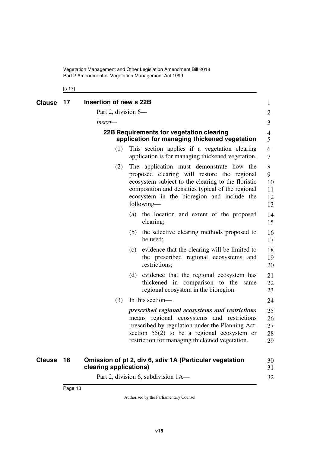Vegetation Management and Other Legislation Amendment Bill 2018 Part 2 Amendment of Vegetation Management Act 1999

### <span id="page-19-3"></span><span id="page-19-2"></span><span id="page-19-1"></span><span id="page-19-0"></span>[s 17]

<span id="page-19-5"></span><span id="page-19-4"></span>

| <b>Clause</b>                                                                                                                                                                                                                                                         | 17 | Insertion of new s 22B |     |                                                                                                                                                                                                                                                      | $\mathbf{1}$               |  |  |  |
|-----------------------------------------------------------------------------------------------------------------------------------------------------------------------------------------------------------------------------------------------------------------------|----|------------------------|-----|------------------------------------------------------------------------------------------------------------------------------------------------------------------------------------------------------------------------------------------------------|----------------------------|--|--|--|
|                                                                                                                                                                                                                                                                       |    | Part 2, division 6—    |     |                                                                                                                                                                                                                                                      | $\overline{2}$             |  |  |  |
|                                                                                                                                                                                                                                                                       |    | insert-                |     |                                                                                                                                                                                                                                                      |                            |  |  |  |
|                                                                                                                                                                                                                                                                       |    |                        |     | 22B Requirements for vegetation clearing<br>application for managing thickened vegetation                                                                                                                                                            | 4<br>5                     |  |  |  |
|                                                                                                                                                                                                                                                                       |    | (1)                    |     | This section applies if a vegetation clearing<br>application is for managing thickened vegetation.                                                                                                                                                   | 6<br>7                     |  |  |  |
| The application must demonstrate how the<br>(2)<br>proposed clearing will restore the regional<br>ecosystem subject to the clearing to the floristic<br>composition and densities typical of the regional<br>ecosystem in the bioregion and include the<br>following— |    |                        |     |                                                                                                                                                                                                                                                      |                            |  |  |  |
|                                                                                                                                                                                                                                                                       |    |                        | (a) | the location and extent of the proposed<br>clearing;                                                                                                                                                                                                 | 14<br>15                   |  |  |  |
|                                                                                                                                                                                                                                                                       |    |                        |     | (b) the selective clearing methods proposed to<br>be used;                                                                                                                                                                                           | 16<br>17                   |  |  |  |
|                                                                                                                                                                                                                                                                       |    |                        | (c) | evidence that the clearing will be limited to<br>the prescribed regional ecosystems and<br>restrictions;                                                                                                                                             | 18<br>19<br>20             |  |  |  |
|                                                                                                                                                                                                                                                                       |    |                        | (d) | evidence that the regional ecosystem has<br>thickened in comparison to the<br>same<br>regional ecosystem in the bioregion.                                                                                                                           | 21<br>22<br>23             |  |  |  |
|                                                                                                                                                                                                                                                                       |    | (3)                    |     | In this section—                                                                                                                                                                                                                                     | 24                         |  |  |  |
|                                                                                                                                                                                                                                                                       |    |                        |     | prescribed regional ecosystems and restrictions<br>means regional ecosystems and restrictions<br>prescribed by regulation under the Planning Act,<br>section $55(2)$ to be a regional ecosystem or<br>restriction for managing thickened vegetation. | 25<br>26<br>27<br>28<br>29 |  |  |  |
| <b>Clause</b>                                                                                                                                                                                                                                                         | 18 | clearing applications) |     | Omission of pt 2, div 6, sdiv 1A (Particular vegetation                                                                                                                                                                                              | 30<br>31                   |  |  |  |
|                                                                                                                                                                                                                                                                       |    |                        |     | Part 2, division 6, subdivision 1A—                                                                                                                                                                                                                  | 32                         |  |  |  |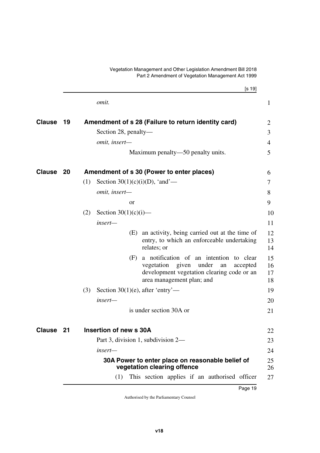<span id="page-20-2"></span><span id="page-20-0"></span>[s 19] Part 2 Amendment of Vegetation Management Act 1999 *omit.* **19 Amendment of s 28 (Failure to return identity card) Clause** 2 Section 28, penalty *omit, insert—* Maximum penalty—50 penalty units. **20** Amendment of s 30 (Power to enter places)  $\qquad \qquad 6$ (1) Section  $30(1)(c)(i)(D)$ , 'and' *omit, insert* or (2) Section  $30(1)(c)(i)$  *insert—* (E) an activity, being carried out at the time of entry, to which an enforceable undertaking relates; or (F) a notification of an intention to clear vegetation given under an accepted development vegetation clearing code or an area management plan; and (3) Section  $30(1)(e)$ , after 'entry' *insert* is under section 30A or **21 Insertion of new s 30A Clause** 22 Part 3, division 1, subdivision 2 *insert—* **30A Power to enter place on reasonable belief of vegetation clearing offence** 1 3 4 5 7 8 9 10 11 12 13 14 15 16 17 18 19 20 21 23 24 25 26  $27$ 

<span id="page-20-3"></span><span id="page-20-1"></span>Vegetation Management and Other Legislation Amendment Bill 2018

<span id="page-20-7"></span><span id="page-20-6"></span><span id="page-20-5"></span><span id="page-20-4"></span>(1) This section applies if an authorised officer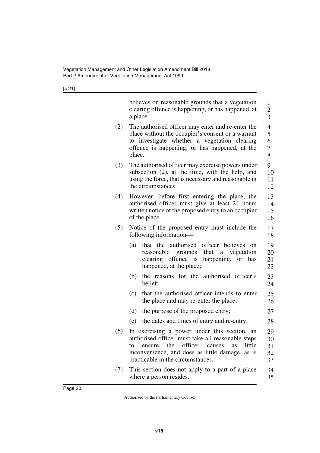[s 21]

|     | believes on reasonable grounds that a vegetation<br>clearing offence is happening, or has happened, at<br>a place.                                                                                                                              | $\mathbf{1}$<br>$\overline{c}$<br>3          |
|-----|-------------------------------------------------------------------------------------------------------------------------------------------------------------------------------------------------------------------------------------------------|----------------------------------------------|
| (2) | The authorised officer may enter and re-enter the<br>place without the occupier's consent or a warrant<br>to investigate whether a vegetation clearing<br>offence is happening, or has happened, at the<br>place.                               | $\overline{\mathcal{L}}$<br>5<br>6<br>7<br>8 |
| (3) | The authorised officer may exercise powers under<br>subsection (2), at the time, with the help, and<br>using the force, that is necessary and reasonable in<br>the circumstances.                                                               | 9<br>10<br>11<br>12                          |
| (4) | However, before first entering the place, the<br>authorised officer must give at least 24 hours<br>written notice of the proposed entry to an occupier<br>of the place.                                                                         | 13<br>14<br>15<br>16                         |
| (5) | Notice of the proposed entry must include the<br>following information-                                                                                                                                                                         | 17<br>18                                     |
|     | that the authorised officer believes<br>(a)<br><sub>on</sub><br>that a vegetation<br>reasonable grounds<br>clearing offence is happening,<br>or has<br>happened, at the place;                                                                  | 19<br>20<br>21<br>22                         |
|     | the reasons for the authorised officer's<br>(b)<br>belief;                                                                                                                                                                                      | 23<br>24                                     |
|     | that the authorised officer intends to enter<br>(c)<br>the place and may re-enter the place;                                                                                                                                                    | 25<br>26                                     |
|     | (d)<br>the purpose of the proposed entry;                                                                                                                                                                                                       | 27                                           |
|     | the dates and times of entry and re-entry.<br>(e)                                                                                                                                                                                               | 28                                           |
| (6) | In exercising a power under this section, an<br>authorised officer must take all reasonable steps<br>the officer causes<br>little<br>ensure<br>as<br>to<br>inconvenience, and does as little damage, as is<br>practicable in the circumstances. | 29<br>30<br>31<br>32<br>33                   |
| (7) | This section does not apply to a part of a place<br>where a person resides.                                                                                                                                                                     | 34<br>35                                     |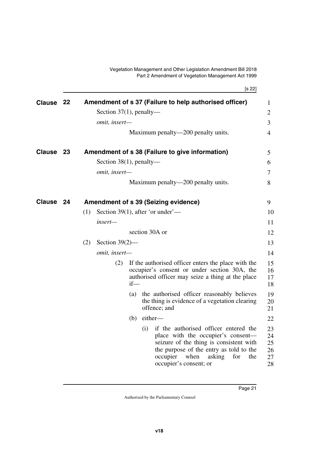<span id="page-22-5"></span><span id="page-22-4"></span><span id="page-22-3"></span><span id="page-22-2"></span><span id="page-22-1"></span><span id="page-22-0"></span>

|               |    |     |                            |        | [s 22]                                                                                                                                                                                                                                         |
|---------------|----|-----|----------------------------|--------|------------------------------------------------------------------------------------------------------------------------------------------------------------------------------------------------------------------------------------------------|
| <b>Clause</b> | 22 |     |                            |        | Amendment of s 37 (Failure to help authorised officer)                                                                                                                                                                                         |
|               |    |     | Section $37(1)$ , penalty— |        |                                                                                                                                                                                                                                                |
|               |    |     | omit, insert-              |        |                                                                                                                                                                                                                                                |
|               |    |     |                            |        | Maximum penalty—200 penalty units.                                                                                                                                                                                                             |
| Clause        | 23 |     |                            |        | Amendment of s 38 (Failure to give information)                                                                                                                                                                                                |
|               |    |     | Section $38(1)$ , penalty— |        |                                                                                                                                                                                                                                                |
|               |    |     | omit, insert-              |        |                                                                                                                                                                                                                                                |
|               |    |     |                            |        | Maximum penalty—200 penalty units.                                                                                                                                                                                                             |
| <b>Clause</b> | 24 |     |                            |        | <b>Amendment of s 39 (Seizing evidence)</b>                                                                                                                                                                                                    |
|               |    | (1) |                            |        | Section 39(1), after 'or under'—                                                                                                                                                                                                               |
|               |    |     | insert—                    |        |                                                                                                                                                                                                                                                |
|               |    |     |                            |        | section 30A or                                                                                                                                                                                                                                 |
|               |    | (2) | Section $39(2)$ —          |        |                                                                                                                                                                                                                                                |
|               |    |     | omit, insert-              |        |                                                                                                                                                                                                                                                |
|               |    |     | (2)                        | $if$ — | If the authorised officer enters the place with the<br>occupier's consent or under section 30A, the<br>authorised officer may seize a thing at the place                                                                                       |
|               |    |     |                            | (a)    | the authorised officer reasonably believes<br>the thing is evidence of a vegetation clearing<br>offence; and                                                                                                                                   |
|               |    |     |                            | (b)    | either-                                                                                                                                                                                                                                        |
|               |    |     |                            |        | if the authorised officer entered the<br>(i)<br>place with the occupier's consent-<br>seizure of the thing is consistent with<br>the purpose of the entry as told to the<br>occupier<br>when<br>asking<br>for<br>the<br>occupier's consent; or |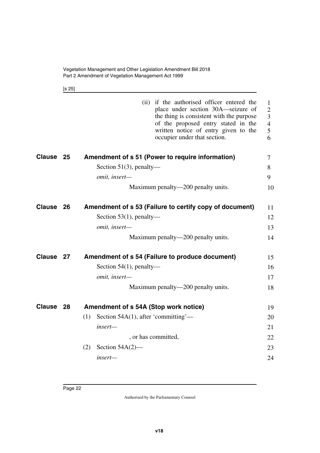<span id="page-23-1"></span>[s 25]

<span id="page-23-7"></span><span id="page-23-6"></span><span id="page-23-5"></span><span id="page-23-4"></span><span id="page-23-3"></span><span id="page-23-2"></span><span id="page-23-0"></span>

|           | (ii) if the authorised officer entered the<br>place under section 30A—seizure of<br>the thing is consistent with the purpose<br>of the proposed entry stated in the<br>written notice of entry given to the<br>occupier under that section. | 1<br>$\mathfrak{2}$<br>3<br>$\overline{4}$<br>5<br>6 |
|-----------|---------------------------------------------------------------------------------------------------------------------------------------------------------------------------------------------------------------------------------------------|------------------------------------------------------|
| Clause 25 | Amendment of s 51 (Power to require information)                                                                                                                                                                                            | $\tau$                                               |
|           | Section 51(3), penalty—                                                                                                                                                                                                                     | 8                                                    |
|           | omit, insert-                                                                                                                                                                                                                               | 9                                                    |
|           | Maximum penalty—200 penalty units.                                                                                                                                                                                                          | 10                                                   |
| Clause 26 | Amendment of s 53 (Failure to certify copy of document)                                                                                                                                                                                     | 11                                                   |
|           | Section $53(1)$ , penalty—                                                                                                                                                                                                                  | 12                                                   |
|           | omit, insert-                                                                                                                                                                                                                               | 13                                                   |
|           | Maximum penalty—200 penalty units.                                                                                                                                                                                                          | 14                                                   |
| Clause 27 | Amendment of s 54 (Failure to produce document)                                                                                                                                                                                             | 15                                                   |
|           | Section $54(1)$ , penalty—                                                                                                                                                                                                                  | 16                                                   |
|           | omit, insert-                                                                                                                                                                                                                               | 17                                                   |
|           | Maximum penalty—200 penalty units.                                                                                                                                                                                                          | 18                                                   |
| Clause 28 | Amendment of s 54A (Stop work notice)                                                                                                                                                                                                       | 19                                                   |
|           | Section $54A(1)$ , after 'committing'—<br>(1)                                                                                                                                                                                               | 20                                                   |
|           | $insert-$                                                                                                                                                                                                                                   | 21                                                   |
|           | , or has committed,                                                                                                                                                                                                                         | 22                                                   |
|           | Section $54A(2)$ —<br>(2)                                                                                                                                                                                                                   | 23                                                   |
|           | insert-                                                                                                                                                                                                                                     | 24                                                   |
|           |                                                                                                                                                                                                                                             |                                                      |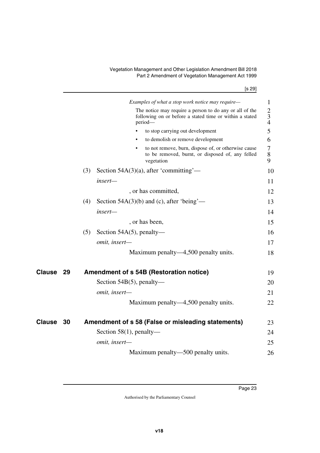Vegetation Management and Other Legislation Amendment Bill 2018 Part 2 Amendment of Vegetation Management Act 1999

[s 29]

<span id="page-24-3"></span><span id="page-24-2"></span><span id="page-24-1"></span><span id="page-24-0"></span>

|               |    |     | Examples of what a stop work notice may require—                                                                              | 1                                   |
|---------------|----|-----|-------------------------------------------------------------------------------------------------------------------------------|-------------------------------------|
|               |    |     | The notice may require a person to do any or all of the<br>following on or before a stated time or within a stated<br>period- | $\mathbf{2}$<br>$\overline{3}$<br>4 |
|               |    |     | to stop carrying out development                                                                                              | 5                                   |
|               |    |     | to demolish or remove development                                                                                             | 6                                   |
|               |    |     | to not remove, burn, dispose of, or otherwise cause<br>٠<br>to be removed, burnt, or disposed of, any felled<br>vegetation    | $\overline{7}$<br>8<br>9            |
|               |    | (3) | Section 54A(3)(a), after 'committing'—                                                                                        | 10                                  |
|               |    |     | insert-                                                                                                                       | 11                                  |
|               |    |     | , or has committed,                                                                                                           | 12                                  |
|               |    | (4) | Section $54A(3)(b)$ and (c), after 'being'—                                                                                   | 13                                  |
|               |    |     | insert-                                                                                                                       | 14                                  |
|               |    |     | , or has been,                                                                                                                | 15                                  |
|               |    | (5) | Section $54A(5)$ , penalty—                                                                                                   | 16                                  |
|               |    |     | omit, insert-                                                                                                                 | 17                                  |
|               |    |     | Maximum penalty—4,500 penalty units.                                                                                          | 18                                  |
| Clause        | 29 |     | Amendment of s 54B (Restoration notice)                                                                                       | 19                                  |
|               |    |     | Section $54B(5)$ , penalty—                                                                                                   | 20                                  |
|               |    |     | omit, insert-                                                                                                                 | 21                                  |
|               |    |     | Maximum penalty—4,500 penalty units.                                                                                          | 22                                  |
| <b>Clause</b> | 30 |     | Amendment of s 58 (False or misleading statements)                                                                            | 23                                  |
|               |    |     | Section $58(1)$ , penalty—                                                                                                    | 24                                  |
|               |    |     | omit, insert-                                                                                                                 | 25                                  |
|               |    |     | Maximum penalty—500 penalty units.                                                                                            | 26                                  |
|               |    |     |                                                                                                                               |                                     |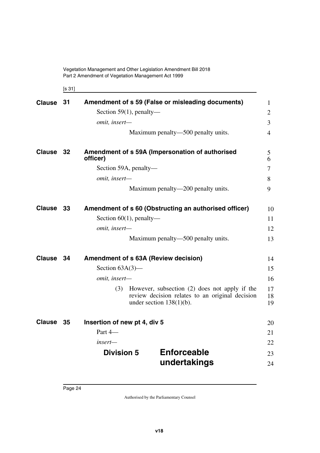Vegetation Management and Other Legislation Amendment Bill 2018 Part 2 Amendment of Vegetation Management Act 1999

<span id="page-25-11"></span><span id="page-25-3"></span><span id="page-25-1"></span><span id="page-25-0"></span>[s 31]

<span id="page-25-10"></span><span id="page-25-9"></span><span id="page-25-8"></span><span id="page-25-7"></span><span id="page-25-6"></span><span id="page-25-5"></span><span id="page-25-4"></span><span id="page-25-2"></span>

| <b>Clause</b> | 31   |                              | Amendment of s 59 (False or misleading documents)                                                                               | $\mathbf{1}$   |
|---------------|------|------------------------------|---------------------------------------------------------------------------------------------------------------------------------|----------------|
|               |      | Section 59(1), penalty—      |                                                                                                                                 | $\overline{2}$ |
|               |      | omit, insert-                |                                                                                                                                 | 3              |
|               |      |                              | Maximum penalty—500 penalty units.                                                                                              | $\overline{4}$ |
| <b>Clause</b> | - 32 | officer)                     | Amendment of s 59A (Impersonation of authorised                                                                                 | 5<br>6         |
|               |      | Section 59A, penalty—        |                                                                                                                                 | $\overline{7}$ |
|               |      | omit, insert-                |                                                                                                                                 | 8              |
|               |      |                              | Maximum penalty—200 penalty units.                                                                                              | 9              |
| <b>Clause</b> | -33  |                              | Amendment of s 60 (Obstructing an authorised officer)                                                                           | 10             |
|               |      | Section $60(1)$ , penalty—   |                                                                                                                                 | 11             |
|               |      | omit, insert-                |                                                                                                                                 | 12             |
|               |      |                              | Maximum penalty—500 penalty units.                                                                                              | 13             |
| <b>Clause</b> | - 34 |                              | Amendment of s 63A (Review decision)                                                                                            | 14             |
|               |      | Section $63A(3)$ —           |                                                                                                                                 | 15             |
|               |      | omit, insert-                |                                                                                                                                 | 16             |
|               |      | (3)                          | However, subsection (2) does not apply if the<br>review decision relates to an original decision<br>under section $138(1)(b)$ . | 17<br>18<br>19 |
| <b>Clause</b> | 35   | Insertion of new pt 4, div 5 |                                                                                                                                 | 20             |
|               |      | Part 4-                      |                                                                                                                                 | 21             |
|               |      | insert—                      |                                                                                                                                 | 22             |
|               |      | <b>Division 5</b>            | <b>Enforceable</b>                                                                                                              | 23             |
|               |      |                              | undertakings                                                                                                                    | 24             |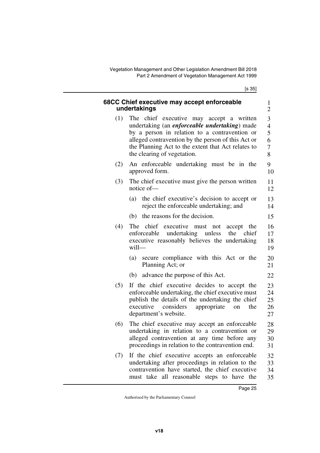[s 35]

<span id="page-26-1"></span><span id="page-26-0"></span>

|     | 68CC Chief executive may accept enforceable<br>undertakings                                                                                                                                                                                                                                   | $\mathbf{1}$<br>$\overline{2}$          |
|-----|-----------------------------------------------------------------------------------------------------------------------------------------------------------------------------------------------------------------------------------------------------------------------------------------------|-----------------------------------------|
| (1) | The chief executive may accept a written<br>undertaking (an <i>enforceable undertaking</i> ) made<br>by a person in relation to a contravention or<br>alleged contravention by the person of this Act or<br>the Planning Act to the extent that Act relates to<br>the clearing of vegetation. | 3<br>$\overline{4}$<br>5<br>6<br>7<br>8 |
| (2) | An enforceable undertaking must be in the<br>approved form.                                                                                                                                                                                                                                   | 9<br>10                                 |
| (3) | The chief executive must give the person written<br>notice of-                                                                                                                                                                                                                                | 11<br>12                                |
|     | the chief executive's decision to accept or<br>(a)<br>reject the enforceable undertaking; and                                                                                                                                                                                                 | 13<br>14                                |
|     | (b) the reasons for the decision.                                                                                                                                                                                                                                                             | 15                                      |
| (4) | The chief executive must not<br>accept the<br>undertaking unless<br>enforceable<br>the<br>chief<br>executive reasonably believes the undertaking<br>will-                                                                                                                                     | 16<br>17<br>18<br>19                    |
|     | secure compliance with this Act or the<br>(a)<br>Planning Act; or                                                                                                                                                                                                                             | 20<br>21                                |
|     | advance the purpose of this Act.<br>(b)                                                                                                                                                                                                                                                       | 22                                      |
| (5) | If the chief executive decides to accept the<br>enforceable undertaking, the chief executive must<br>publish the details of the undertaking the chief<br>considers<br>appropriate<br>executive<br>the<br>on<br>department's website.                                                          | 23<br>24<br>25<br>26<br>27              |
| (6) | The chief executive may accept an enforceable<br>undertaking in relation to a contravention or<br>alleged contravention at any time before any<br>proceedings in relation to the contravention end.                                                                                           | 28<br>29<br>30<br>31                    |
| (7) | If the chief executive accepts an enforceable<br>undertaking after proceedings in relation to the<br>contravention have started, the chief executive<br>must take all reasonable steps to have the                                                                                            | 32<br>33<br>34<br>35                    |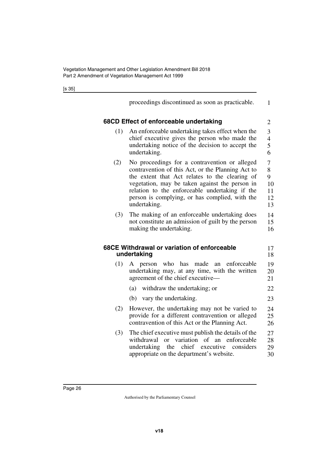<span id="page-27-1"></span><span id="page-27-0"></span>proceedings discontinued as soon as practicable. **68CD Effect of enforceable undertaking** (1) An enforceable undertaking takes effect when the chief executive gives the person who made the undertaking notice of the decision to accept the undertaking. (2) No proceedings for a contravention or alleged contravention of this Act, or the Planning Act to the extent that Act relates to the clearing of vegetation, may be taken against the person in relation to the enforceable undertaking if the person is complying, or has complied, with the undertaking. (3) The making of an enforceable undertaking does not constitute an admission of guilt by the person making the undertaking. **68CE Withdrawal or variation of enforceable undertaking** (1) A person who has made an enforceable undertaking may, at any time, with the written agreement of the chief executive— (a) withdraw the undertaking; or (b) vary the undertaking. (2) However, the undertaking may not be varied to provide for a different contravention or alleged contravention of this Act or the Planning Act. (3) The chief executive must publish the details of the withdrawal or variation of an enforceable undertaking the chief executive considers 1 2 3 4 5 6 7 8 9 10 11 12 13 14 15 16 17 18 19 20 21 22 23 24 25 26 27 28 29

<span id="page-27-3"></span><span id="page-27-2"></span>appropriate on the department's website.

30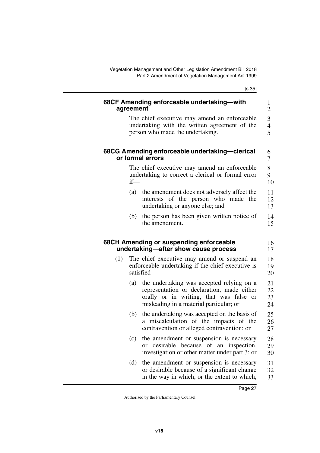<span id="page-28-5"></span><span id="page-28-4"></span><span id="page-28-3"></span><span id="page-28-2"></span><span id="page-28-1"></span><span id="page-28-0"></span>

|     | agreement | 68CF Amending enforceable undertaking-with                                                                                                                                                   |
|-----|-----------|----------------------------------------------------------------------------------------------------------------------------------------------------------------------------------------------|
|     |           | The chief executive may amend an enforceable<br>undertaking with the written agreement of the<br>person who made the undertaking.                                                            |
|     |           | 68CG Amending enforceable undertaking-clerical<br>or formal errors                                                                                                                           |
|     | $if$ —    | The chief executive may amend an enforceable<br>undertaking to correct a clerical or formal error                                                                                            |
|     | (a)       | the amendment does not adversely affect the<br>interests of the person who made the<br>undertaking or anyone else; and                                                                       |
|     | (b)       | the person has been given written notice of<br>the amendment.                                                                                                                                |
|     |           | 68CH Amending or suspending enforceable<br>undertaking-after show cause process                                                                                                              |
| (1) |           | The chief executive may amend or suspend an<br>enforceable undertaking if the chief executive is<br>satisfied-                                                                               |
|     | (a)       | the undertaking was accepted relying on a<br>representation or declaration, made either<br>orally or in writing, that was false or<br>misleading in a material particular; or                |
|     | (b)       | the undertaking was accepted on the basis of                                                                                                                                                 |
|     |           | contravention or alleged contravention; or                                                                                                                                                   |
|     | (c)       | a miscalculation of the impacts of the<br>the amendment or suspension is necessary<br>desirable because of an inspection,<br><sub>or</sub><br>investigation or other matter under part 3; or |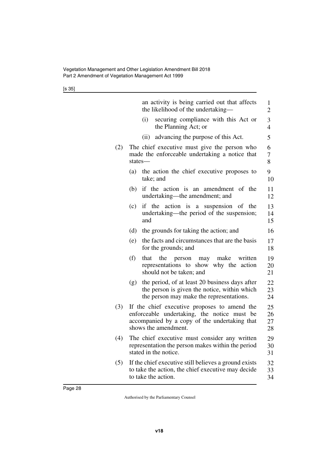[s 35]

|     |     |               | an activity is being carried out that affects<br>the likelihood of the undertaking-                                                                                  | 1<br>$\overline{c}$  |
|-----|-----|---------------|----------------------------------------------------------------------------------------------------------------------------------------------------------------------|----------------------|
|     |     | (i)           | securing compliance with this Act or<br>the Planning Act; or                                                                                                         | 3<br>$\overline{4}$  |
|     |     |               | (ii) advancing the purpose of this Act.                                                                                                                              | 5                    |
| (2) |     | states-       | The chief executive must give the person who<br>made the enforceable undertaking a notice that                                                                       | 6<br>7<br>8          |
|     | (a) |               | the action the chief executive proposes to<br>take; and                                                                                                              | 9<br>10              |
|     | (b) |               | if the action is an amendment of the<br>undertaking—the amendment; and                                                                                               | 11<br>12             |
|     | (c) | if the<br>and | action is a suspension of the<br>undertaking—the period of the suspension;                                                                                           | 13<br>14<br>15       |
|     | (d) |               | the grounds for taking the action; and                                                                                                                               | 16                   |
|     | (e) |               | the facts and circumstances that are the basis<br>for the grounds; and                                                                                               | 17<br>18             |
|     | (f) | that          | the<br>make<br>person may<br>written<br>representations to show<br>why the action<br>should not be taken; and                                                        | 19<br>20<br>21       |
|     | (g) |               | the period, of at least 20 business days after<br>the person is given the notice, within which<br>the person may make the representations.                           | 22<br>23<br>24       |
| (3) |     |               | If the chief executive proposes to amend the<br>enforceable undertaking, the notice must be<br>accompanied by a copy of the undertaking that<br>shows the amendment. | 25<br>26<br>27<br>28 |
| (4) |     |               | The chief executive must consider any written<br>representation the person makes within the period<br>stated in the notice.                                          | 29<br>30<br>31       |
| (5) |     |               | If the chief executive still believes a ground exists<br>to take the action, the chief executive may decide<br>to take the action.                                   | 32<br>33<br>34       |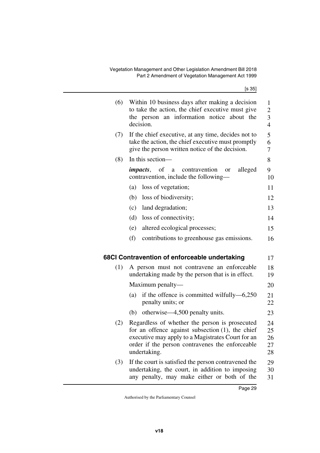<span id="page-30-1"></span><span id="page-30-0"></span>

| (6) | Within 10 business days after making a decision<br>to take the action, the chief executive must give<br>the person an information notice about the<br>decision.                                                               | 1<br>$\overline{c}$<br>3<br>$\overline{4}$ |
|-----|-------------------------------------------------------------------------------------------------------------------------------------------------------------------------------------------------------------------------------|--------------------------------------------|
| (7) | If the chief executive, at any time, decides not to<br>take the action, the chief executive must promptly<br>give the person written notice of the decision.                                                                  | 5<br>6<br>7                                |
| (8) | In this section-                                                                                                                                                                                                              | 8                                          |
|     | <i>impacts</i> , of<br>contravention<br>alleged<br>a<br><b>or</b><br>contravention, include the following-                                                                                                                    | 9<br>10                                    |
|     | loss of vegetation;<br>(a)                                                                                                                                                                                                    | 11                                         |
|     | loss of biodiversity;<br>(b)                                                                                                                                                                                                  | 12                                         |
|     | (c)<br>land degradation;                                                                                                                                                                                                      | 13                                         |
|     | (d)<br>loss of connectivity;                                                                                                                                                                                                  | 14                                         |
|     | altered ecological processes;<br>(e)                                                                                                                                                                                          | 15                                         |
|     | (f)<br>contributions to greenhouse gas emissions.                                                                                                                                                                             | 16                                         |
|     | 68CI Contravention of enforceable undertaking                                                                                                                                                                                 | 17                                         |
| (1) | A person must not contravene an enforceable<br>undertaking made by the person that is in effect.                                                                                                                              | 18<br>19                                   |
|     | Maximum penalty-                                                                                                                                                                                                              | 20                                         |
|     | if the offence is committed wilfully-6,250<br>(a)<br>penalty units; or                                                                                                                                                        | 21<br>22                                   |
|     | otherwise—4,500 penalty units.<br>(b)                                                                                                                                                                                         | 23                                         |
| (2) | Regardless of whether the person is prosecuted<br>for an offence against subsection $(1)$ , the chief<br>executive may apply to a Magistrates Court for an<br>order if the person contravenes the enforceable<br>undertaking. | 24<br>25<br>26<br>27<br>28                 |
| (3) | If the court is satisfied the person contravened the<br>undertaking, the court, in addition to imposing<br>any penalty, may make either or both of the                                                                        | 29<br>30<br>31                             |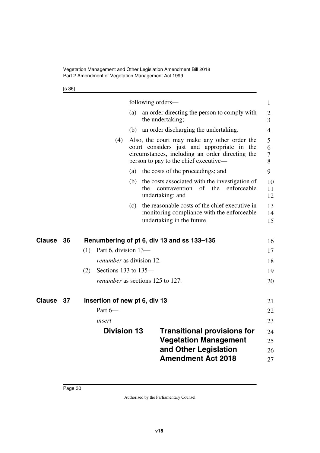<span id="page-31-5"></span>[s 36]

<span id="page-31-4"></span><span id="page-31-3"></span><span id="page-31-2"></span><span id="page-31-1"></span><span id="page-31-0"></span>

|               |    |     | <b>Division 13</b>              |     | <b>Vegetation Management</b><br>and Other Legislation<br><b>Amendment Act 2018</b>                                                                                                      | <b>Transitional provisions for</b> | 24<br>25<br>26<br>27             |
|---------------|----|-----|---------------------------------|-----|-----------------------------------------------------------------------------------------------------------------------------------------------------------------------------------------|------------------------------------|----------------------------------|
|               |    |     | insert—                         |     |                                                                                                                                                                                         |                                    | 23                               |
|               |    |     | Part 6-                         |     |                                                                                                                                                                                         |                                    | 22                               |
| Clause        | 37 |     | Insertion of new pt 6, div 13   |     |                                                                                                                                                                                         |                                    | 21                               |
|               |    |     |                                 |     | <i>renumber</i> as sections 125 to 127.                                                                                                                                                 |                                    | 20                               |
|               |    | (2) | Sections 133 to $135-$          |     |                                                                                                                                                                                         |                                    | 19                               |
|               |    |     | <i>renumber</i> as division 12. |     |                                                                                                                                                                                         |                                    | 18                               |
| <b>Clause</b> | 36 | (1) | Part 6, division 13-            |     | Renumbering of pt 6, div 13 and ss 133-135                                                                                                                                              |                                    | 16<br>17                         |
|               |    |     |                                 | (c) | the reasonable costs of the chief executive in<br>monitoring compliance with the enforceable<br>undertaking in the future.                                                              |                                    | 13<br>14<br>15                   |
|               |    |     |                                 |     | (b) the costs associated with the investigation of<br>contravention of the<br>the<br>undertaking; and                                                                                   | enforceable                        | 10<br>11<br>12                   |
|               |    |     |                                 | (a) | the costs of the proceedings; and                                                                                                                                                       |                                    | 9                                |
|               |    |     | (4)                             |     | Also, the court may make any other order the<br>court considers just and appropriate in the<br>circumstances, including an order directing the<br>person to pay to the chief executive— |                                    | 5<br>6<br>7<br>8                 |
|               |    |     |                                 | (b) | an order discharging the undertaking.                                                                                                                                                   |                                    | $\overline{4}$                   |
|               |    |     |                                 | (a) | an order directing the person to comply with<br>the undertaking;                                                                                                                        |                                    | $\overline{2}$<br>$\overline{3}$ |
|               |    |     |                                 |     | following orders—                                                                                                                                                                       |                                    | $\mathbf{1}$                     |
|               |    |     |                                 |     |                                                                                                                                                                                         |                                    |                                  |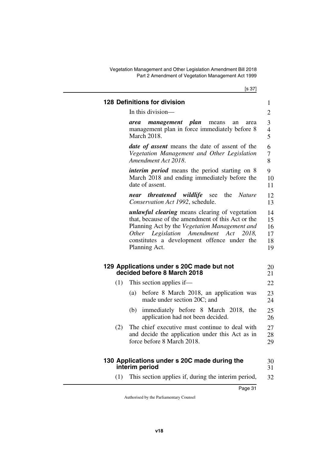<span id="page-32-1"></span><span id="page-32-0"></span>Vegetation Management and Other Legislation Amendment Bill 2018 Part 2 Amendment of Vegetation Management Act 1999

<span id="page-32-5"></span><span id="page-32-4"></span><span id="page-32-3"></span><span id="page-32-2"></span>

|     | <b>128 Definitions for division</b>                                                                                                                                                                                                                                     | 1                                |
|-----|-------------------------------------------------------------------------------------------------------------------------------------------------------------------------------------------------------------------------------------------------------------------------|----------------------------------|
|     | In this division—                                                                                                                                                                                                                                                       | $\overline{2}$                   |
|     | management plan<br>means<br>area<br>an<br>area<br>management plan in force immediately before 8<br><b>March 2018.</b>                                                                                                                                                   | 3<br>$\overline{4}$<br>5         |
|     | <b><i>date of assent</i></b> means the date of assent of the<br>Vegetation Management and Other Legislation<br>Amendment Act 2018.                                                                                                                                      | 6<br>7<br>8                      |
|     | <i>interim period</i> means the period starting on 8<br>March 2018 and ending immediately before the<br>date of assent.                                                                                                                                                 | 9<br>10<br>11                    |
|     | near threatened wildlife see the<br><i>Nature</i><br>Conservation Act 1992, schedule.                                                                                                                                                                                   | 12<br>13                         |
|     | <i>unlawful clearing</i> means clearing of vegetation<br>that, because of the amendment of this Act or the<br>Planning Act by the Vegetation Management and<br>Other Legislation Amendment Act<br>2018.<br>constitutes a development offence under the<br>Planning Act. | 14<br>15<br>16<br>17<br>18<br>19 |
|     | 129 Applications under s 20C made but not<br>decided before 8 March 2018                                                                                                                                                                                                | 20<br>21                         |
| (1) | This section applies if—                                                                                                                                                                                                                                                | 22                               |
|     | before 8 March 2018, an application was<br>(a)<br>made under section 20C; and                                                                                                                                                                                           | 23<br>24                         |
|     | (b) immediately before 8 March 2018, the<br>application had not been decided.                                                                                                                                                                                           | 25<br>26                         |
| (2) | The chief executive must continue to deal with<br>and decide the application under this Act as in<br>force before 8 March 2018.                                                                                                                                         | 27<br>28<br>29                   |
|     | 130 Applications under s 20C made during the<br>interim period                                                                                                                                                                                                          | 30<br>31                         |
| (1) | This section applies if, during the interim period,                                                                                                                                                                                                                     | 32                               |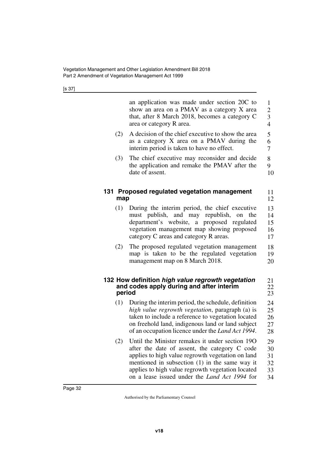<span id="page-33-3"></span><span id="page-33-2"></span><span id="page-33-1"></span><span id="page-33-0"></span>

|        | an application was made under section 20C to<br>show an area on a PMAV as a category X area<br>that, after 8 March 2018, becomes a category C<br>area or category R area.                                                                                                                                              | $\mathbf{1}$<br>$\overline{c}$<br>$\overline{\mathbf{3}}$<br>$\overline{4}$ |
|--------|------------------------------------------------------------------------------------------------------------------------------------------------------------------------------------------------------------------------------------------------------------------------------------------------------------------------|-----------------------------------------------------------------------------|
| (2)    | A decision of the chief executive to show the area<br>as a category X area on a PMAV during the<br>interim period is taken to have no effect.                                                                                                                                                                          | 5<br>6<br>$\overline{7}$                                                    |
| (3)    | The chief executive may reconsider and decide<br>the application and remake the PMAV after the<br>date of assent.                                                                                                                                                                                                      | 8<br>9<br>10                                                                |
| map    | 131 Proposed regulated vegetation management                                                                                                                                                                                                                                                                           | 11<br>12                                                                    |
| (1)    | During the interim period, the chief executive<br>must publish, and may republish, on the<br>department's website, a proposed regulated<br>vegetation management map showing proposed<br>category C areas and category R areas.                                                                                        | 13<br>14<br>15<br>16<br>17                                                  |
| (2)    | The proposed regulated vegetation management<br>map is taken to be the regulated vegetation<br>management map on 8 March 2018.                                                                                                                                                                                         | 18<br>19<br>20                                                              |
| period | 132 How definition high value regrowth vegetation<br>and codes apply during and after interim                                                                                                                                                                                                                          | 21<br>22<br>23                                                              |
| (1)    | During the interim period, the schedule, definition<br>high value regrowth vegetation, paragraph (a) is<br>taken to include a reference to vegetation located<br>on freehold land, indigenous land or land subject<br>of an occupation licence under the <i>Land Act 1994</i> .                                        | 24<br>25<br>26<br>27<br>28                                                  |
| (2)    | Until the Minister remakes it under section 190<br>after the date of assent, the category C code<br>applies to high value regrowth vegetation on land<br>mentioned in subsection $(1)$ in the same way it<br>applies to high value regrowth vegetation located<br>on a lease issued under the <i>Land Act 1994</i> for | 29<br>30<br>31<br>32<br>33<br>34                                            |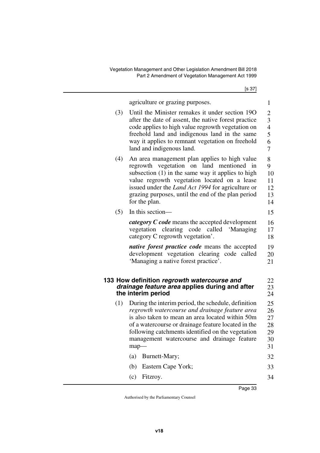<span id="page-34-1"></span><span id="page-34-0"></span>

|     | agriculture or grazing purposes.                                                                   | 1              |
|-----|----------------------------------------------------------------------------------------------------|----------------|
| (3) | Until the Minister remakes it under section 190                                                    | $\overline{2}$ |
|     | after the date of assent, the native forest practice                                               | 3              |
|     | code applies to high value regrowth vegetation on                                                  | $\overline{4}$ |
|     | freehold land and indigenous land in the same<br>way it applies to remnant vegetation on freehold  | 5<br>6         |
|     | land and indigenous land.                                                                          | 7              |
| (4) | An area management plan applies to high value                                                      | 8              |
|     | regrowth vegetation on land mentioned in                                                           | 9              |
|     | subsection (1) in the same way it applies to high<br>value regrowth vegetation located on a lease  | 10<br>11       |
|     | issued under the <i>Land Act 1994</i> for agriculture or                                           | 12             |
|     | grazing purposes, until the end of the plan period                                                 | 13             |
|     | for the plan.                                                                                      | 14             |
| (5) | In this section-                                                                                   | 15             |
|     | <i>category C code</i> means the accepted development                                              | 16             |
|     | vegetation clearing code<br>called 'Managing                                                       | 17             |
|     | category C regrowth vegetation'.                                                                   | 18             |
|     | <i>native forest practice code</i> means the accepted                                              | 19             |
|     | development vegetation clearing code called<br>'Managing a native forest practice'.                | 20<br>21       |
|     |                                                                                                    |                |
|     | 133 How definition regrowth watercourse and                                                        | 22             |
|     | drainage feature area applies during and after                                                     | 23             |
|     | the interim period                                                                                 | 24             |
| (1) | During the interim period, the schedule, definition                                                | 25             |
|     | regrowth watercourse and drainage feature area<br>is also taken to mean an area located within 50m | 26             |
|     | of a watercourse or drainage feature located in the                                                | 27<br>28       |
|     | following catchments identified on the vegetation                                                  | 29             |
|     | management watercourse and drainage feature                                                        | 30             |
|     | $map-$                                                                                             | 31             |
|     | Burnett-Mary;<br>(a)                                                                               | 32             |
|     | (b)<br>Eastern Cape York;                                                                          | 33             |
|     | (c)<br>Fitzroy.                                                                                    | 34             |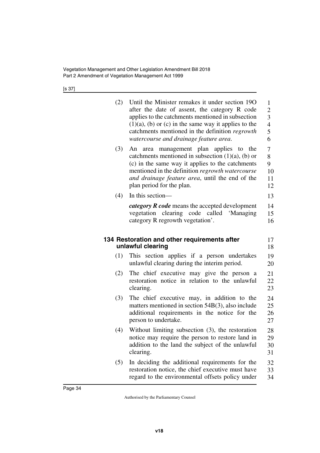<span id="page-35-1"></span><span id="page-35-0"></span>

| (2) | Until the Minister remakes it under section 190<br>after the date of assent, the category R code<br>applies to the catchments mentioned in subsection<br>$(1)(a)$ , $(b)$ or $(c)$ in the same way it applies to the<br>catchments mentioned in the definition regrowth<br>watercourse and drainage feature area. | $\mathbf{1}$<br>$\boldsymbol{2}$<br>$\overline{3}$<br>$\overline{4}$<br>5<br>6 |
|-----|-------------------------------------------------------------------------------------------------------------------------------------------------------------------------------------------------------------------------------------------------------------------------------------------------------------------|--------------------------------------------------------------------------------|
| (3) | An area management plan applies to the<br>catchments mentioned in subsection $(1)(a)$ , $(b)$ or<br>(c) in the same way it applies to the catchments<br>mentioned in the definition regrowth watercourse<br>and drainage feature area, until the end of the<br>plan period for the plan.                          | 7<br>8<br>9<br>10<br>11<br>12                                                  |
| (4) | In this section-                                                                                                                                                                                                                                                                                                  | 13                                                                             |
|     | <i>category R code</i> means the accepted development<br>vegetation clearing code called 'Managing<br>category R regrowth vegetation'.                                                                                                                                                                            | 14<br>15<br>16                                                                 |
|     | 134 Restoration and other requirements after                                                                                                                                                                                                                                                                      | 17                                                                             |
|     | unlawful clearing                                                                                                                                                                                                                                                                                                 | 18                                                                             |
| (1) | This section applies if a person undertakes<br>unlawful clearing during the interim period.                                                                                                                                                                                                                       | 19<br>20                                                                       |
| (2) | The chief executive may give the person a<br>restoration notice in relation to the unlawful<br>clearing.                                                                                                                                                                                                          | 21<br>22<br>23                                                                 |
| (3) | The chief executive may, in addition to the<br>matters mentioned in section 54B(3), also include<br>additional requirements in the notice for the<br>person to undertake.                                                                                                                                         | 24<br>25<br>26<br>27                                                           |
| (4) | Without limiting subsection (3), the restoration<br>notice may require the person to restore land in<br>addition to the land the subject of the unlawful<br>clearing.                                                                                                                                             | 28<br>29<br>30<br>31                                                           |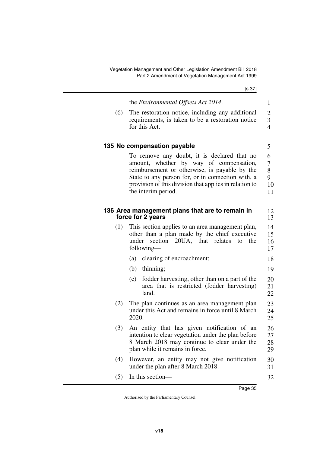<span id="page-36-3"></span><span id="page-36-2"></span><span id="page-36-1"></span><span id="page-36-0"></span>

|     | the Environmental Offsets Act 2014.                                                                 | 1              |
|-----|-----------------------------------------------------------------------------------------------------|----------------|
| (6) | The restoration notice, including any additional                                                    | $\overline{2}$ |
|     | requirements, is taken to be a restoration notice                                                   | 3              |
|     | for this Act.                                                                                       | $\overline{4}$ |
|     |                                                                                                     |                |
|     | 135 No compensation payable                                                                         | 5              |
|     | To remove any doubt, it is declared that no                                                         | 6              |
|     | amount, whether by way of compensation,<br>reimbursement or otherwise, is payable by the            | 7<br>8         |
|     | State to any person for, or in connection with, a                                                   | 9              |
|     | provision of this division that applies in relation to                                              | 10             |
|     | the interim period.                                                                                 | 11             |
|     |                                                                                                     |                |
|     | 136 Area management plans that are to remain in<br>force for 2 years                                | 12<br>13       |
|     |                                                                                                     |                |
| (1) | This section applies to an area management plan,<br>other than a plan made by the chief executive   | 14<br>15       |
|     | section<br>20UA, that relates<br>under<br>the<br>to                                                 | 16             |
|     | following—                                                                                          | 17             |
|     | (a)<br>clearing of encroachment;                                                                    | 18             |
|     | $(b)$ thinning;                                                                                     | 19             |
|     | fodder harvesting, other than on a part of the<br>(c)                                               | 20             |
|     | area that is restricted (fodder harvesting)                                                         | 21             |
|     | land.                                                                                               | 22             |
| (2) | The plan continues as an area management plan                                                       | 23             |
|     | under this Act and remains in force until 8 March<br>2020.                                          | 24             |
|     |                                                                                                     | 25             |
| (3) | An entity that has given notification of an                                                         | 26             |
|     | intention to clear vegetation under the plan before<br>8 March 2018 may continue to clear under the | 27<br>28       |
|     | plan while it remains in force.                                                                     | 29             |
| (4) | However, an entity may not give notification                                                        | 30             |
|     | under the plan after 8 March 2018.                                                                  | 31             |
| (5) | In this section-                                                                                    | 32             |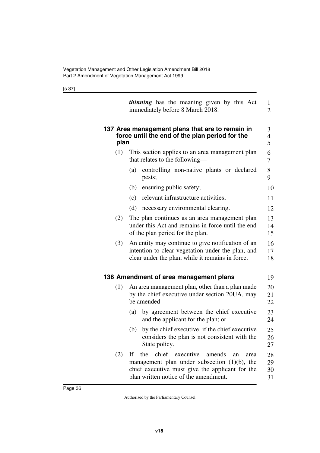<span id="page-37-3"></span><span id="page-37-2"></span><span id="page-37-1"></span><span id="page-37-0"></span>

|      | <i>thinning</i> has the meaning given by this Act<br>immediately before 8 March 2018.                                                                                                               | 1<br>$\overline{2}$                |
|------|-----------------------------------------------------------------------------------------------------------------------------------------------------------------------------------------------------|------------------------------------|
| plan | 137 Area management plans that are to remain in<br>force until the end of the plan period for the                                                                                                   | 3<br>$\overline{\mathcal{A}}$<br>5 |
| (1)  | This section applies to an area management plan<br>that relates to the following-                                                                                                                   | 6<br>7                             |
|      | controlling non-native plants or declared<br>(a)<br>pests;                                                                                                                                          | 8<br>9                             |
|      | ensuring public safety;<br>(b)                                                                                                                                                                      | 10                                 |
|      | relevant infrastructure activities;<br>(c)                                                                                                                                                          | 11                                 |
|      | (d)<br>necessary environmental clearing.                                                                                                                                                            | 12                                 |
| (2)  | The plan continues as an area management plan<br>under this Act and remains in force until the end<br>of the plan period for the plan.                                                              | 13<br>14<br>15                     |
| (3)  | An entity may continue to give notification of an<br>intention to clear vegetation under the plan, and<br>clear under the plan, while it remains in force.                                          | 16<br>17<br>18                     |
|      | 138 Amendment of area management plans                                                                                                                                                              | 19                                 |
| (1)  | An area management plan, other than a plan made<br>by the chief executive under section 20UA, may<br>be amended-                                                                                    | 20<br>21<br>22                     |
|      | by agreement between the chief executive<br>(a)<br>and the applicant for the plan; or                                                                                                               | 23<br>24                           |
|      | by the chief executive, if the chief executive<br>(b)<br>considers the plan is not consistent with the<br>State policy.                                                                             | 25<br>26<br>27                     |
| (2)  | chief executive<br>If<br>the<br>amends<br>an<br>area<br>management plan under subsection $(1)(b)$ , the<br>chief executive must give the applicant for the<br>plan written notice of the amendment. | 28<br>29<br>30<br>31               |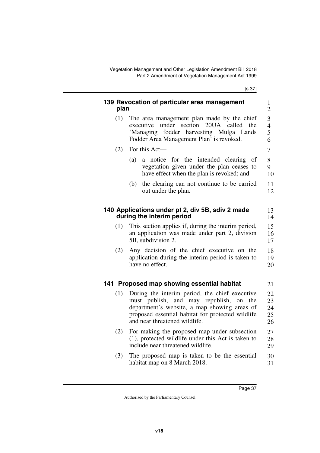<span id="page-38-5"></span><span id="page-38-4"></span><span id="page-38-3"></span><span id="page-38-2"></span><span id="page-38-1"></span><span id="page-38-0"></span>

| plan | 139 Revocation of particular area management                                                                                                                                                                                                | 1<br>$\overline{2}$           |
|------|---------------------------------------------------------------------------------------------------------------------------------------------------------------------------------------------------------------------------------------------|-------------------------------|
| (1)  | The area management plan made by the chief<br>under<br>section<br>20UA called<br>executive<br>the<br>fodder harvesting Mulga Lands<br>'Managing<br>Fodder Area Management Plan' is revoked.                                                 | 3<br>$\overline{4}$<br>5<br>6 |
| (2)  | For this Act-                                                                                                                                                                                                                               | 7                             |
|      | a notice for the intended clearing<br>(a)<br>of<br>vegetation given under the plan ceases to<br>have effect when the plan is revoked; and                                                                                                   | 8<br>9<br>10                  |
|      | the clearing can not continue to be carried<br>(b)<br>out under the plan.                                                                                                                                                                   | 11<br>12                      |
|      | 140 Applications under pt 2, div 5B, sdiv 2 made<br>during the interim period                                                                                                                                                               | 13<br>14                      |
| (1)  | This section applies if, during the interim period,<br>an application was made under part 2, division<br>5B, subdivision 2.                                                                                                                 | 15<br>16<br>17                |
| (2)  | Any decision of the chief executive on the<br>application during the interim period is taken to<br>have no effect.                                                                                                                          | 18<br>19<br>20                |
|      | 141 Proposed map showing essential habitat                                                                                                                                                                                                  | 21                            |
| (1)  | During the interim period, the chief executive<br>publish,<br>and may republish,<br>must<br>the<br>on<br>department's website, a map showing areas of<br>proposed essential habitat for protected wildlife<br>and near threatened wildlife. | 22<br>23<br>24<br>25<br>26    |
| (2)  | For making the proposed map under subsection<br>(1), protected wildlife under this Act is taken to<br>include near threatened wildlife.                                                                                                     | 27<br>28<br>29                |
| (3)  | The proposed map is taken to be the essential<br>habitat map on 8 March 2018.                                                                                                                                                               | 30<br>31                      |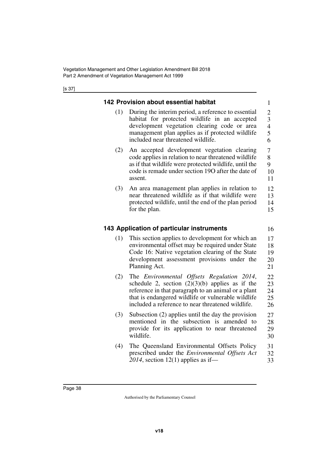<span id="page-39-3"></span><span id="page-39-2"></span><span id="page-39-1"></span><span id="page-39-0"></span>

|     | 142 Provision about essential habitat                                                                                                                                                                                                                             | 1                                                            |
|-----|-------------------------------------------------------------------------------------------------------------------------------------------------------------------------------------------------------------------------------------------------------------------|--------------------------------------------------------------|
| (1) | During the interim period, a reference to essential<br>habitat for protected wildlife in an accepted<br>development vegetation clearing code or area<br>management plan applies as if protected wildlife<br>included near threatened wildlife.                    | $\overline{c}$<br>$\overline{3}$<br>$\overline{4}$<br>5<br>6 |
| (2) | An accepted development vegetation clearing<br>code applies in relation to near threatened wildlife<br>as if that wildlife were protected wildlife, until the<br>code is remade under section 190 after the date of<br>assent.                                    | $\overline{7}$<br>8<br>9<br>10<br>11                         |
| (3) | An area management plan applies in relation to<br>near threatened wildlife as if that wildlife were<br>protected wildlife, until the end of the plan period<br>for the plan.                                                                                      | 12<br>13<br>14<br>15                                         |
|     | 143 Application of particular instruments                                                                                                                                                                                                                         | 16                                                           |
| (1) | This section applies to development for which an<br>environmental offset may be required under State<br>Code 16: Native vegetation clearing of the State<br>development assessment provisions under the<br>Planning Act.                                          | 17<br>18<br>19<br>20<br>21                                   |
|     |                                                                                                                                                                                                                                                                   |                                                              |
| (2) | The Environmental Offsets Regulation 2014,<br>schedule 2, section $(2)(3)(b)$ applies as if the<br>reference in that paragraph to an animal or a plant<br>that is endangered wildlife or vulnerable wildlife<br>included a reference to near threatened wildlife. | 22<br>23<br>24<br>25<br>26                                   |
| (3) | Subsection (2) applies until the day the provision<br>mentioned in the subsection is amended to<br>provide for its application to near threatened<br>wildlife.                                                                                                    | 27<br>28<br>29<br>30                                         |
| (4) | The Queensland Environmental Offsets Policy<br>prescribed under the <i>Environmental Offsets Act</i><br>2014, section 12(1) applies as if—                                                                                                                        | 31<br>32<br>33                                               |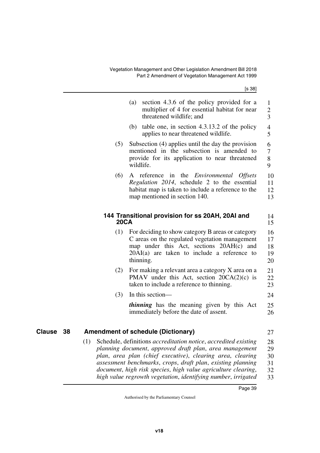<span id="page-40-3"></span><span id="page-40-2"></span><span id="page-40-1"></span><span id="page-40-0"></span>

|                     |             | section 4.3.6 of the policy provided for a<br>(a)<br>multiplier of 4 for essential habitat for near<br>threatened wildlife; and                                                                                                                                                                                                                                                                          | 1<br>$\overline{2}$<br>3         |
|---------------------|-------------|----------------------------------------------------------------------------------------------------------------------------------------------------------------------------------------------------------------------------------------------------------------------------------------------------------------------------------------------------------------------------------------------------------|----------------------------------|
|                     |             | (b) table one, in section $4.3.13.2$ of the policy<br>applies to near threatened wildlife.                                                                                                                                                                                                                                                                                                               | $\overline{4}$<br>5              |
|                     | (5)         | Subsection (4) applies until the day the provision<br>mentioned in the subsection is amended to<br>provide for its application to near threatened<br>wildlife.                                                                                                                                                                                                                                           | 6<br>7<br>$8\,$<br>9             |
|                     | (6)         | A reference in the <i>Environmental Offsets</i><br>Regulation 2014, schedule 2 to the essential<br>habitat map is taken to include a reference to the<br>map mentioned in section 140.                                                                                                                                                                                                                   | 10<br>11<br>12<br>13             |
|                     | <b>20CA</b> | 144 Transitional provision for ss 20AH, 20AI and                                                                                                                                                                                                                                                                                                                                                         | 14<br>15                         |
|                     | (1)         | For deciding to show category B areas or category<br>C areas on the regulated vegetation management<br>map under this Act, sections 20AH(c) and<br>$20AI(a)$ are taken to include a reference to<br>thinning.                                                                                                                                                                                            | 16<br>17<br>18<br>19<br>20       |
|                     | (2)         | For making a relevant area a category X area on a<br>PMAV under this Act, section $20CA(2)(c)$ is<br>taken to include a reference to thinning.                                                                                                                                                                                                                                                           | 21<br>22<br>23                   |
|                     | (3)         | In this section—                                                                                                                                                                                                                                                                                                                                                                                         | 24                               |
|                     |             | <i>thinning</i> has the meaning given by this Act<br>immediately before the date of assent.                                                                                                                                                                                                                                                                                                              | 25<br>26                         |
| <b>Clause</b><br>38 |             | <b>Amendment of schedule (Dictionary)</b>                                                                                                                                                                                                                                                                                                                                                                | 27                               |
|                     | (1)         | Schedule, definitions <i>accreditation notice</i> , <i>accredited existing</i><br>planning document, approved draft plan, area management<br>plan, area plan (chief executive), clearing area, clearing<br>assessment benchmarks, crops, draft plan, existing planning<br>document, high risk species, high value agriculture clearing,<br>high value regrowth vegetation, identifying number, irrigated | 28<br>29<br>30<br>31<br>32<br>33 |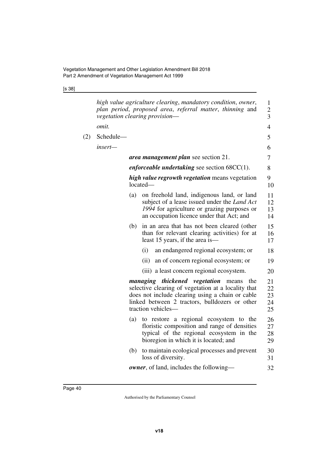[s 38]

|     |           |     | high value agriculture clearing, mandatory condition, owner,<br>plan period, proposed area, referral matter, thinning and<br>vegetation clearing provision-                                                                      | 1<br>$\overline{c}$<br>3   |
|-----|-----------|-----|----------------------------------------------------------------------------------------------------------------------------------------------------------------------------------------------------------------------------------|----------------------------|
|     | omit.     |     |                                                                                                                                                                                                                                  | 4                          |
| (2) | Schedule- |     |                                                                                                                                                                                                                                  | 5                          |
|     | insert—   |     |                                                                                                                                                                                                                                  | 6                          |
|     |           |     | area management plan see section 21.                                                                                                                                                                                             | 7                          |
|     |           |     | <i>enforceable undertaking</i> see section $68CC(1)$ .                                                                                                                                                                           | 8                          |
|     |           |     | <i>high value regrowth vegetation</i> means vegetation<br>$located-$                                                                                                                                                             | 9<br>10                    |
|     |           | (a) | on freehold land, indigenous land, or land<br>subject of a lease issued under the <i>Land Act</i><br>1994 for agriculture or grazing purposes or<br>an occupation licence under that Act; and                                    | 11<br>12<br>13<br>14       |
|     |           | (b) | in an area that has not been cleared (other<br>than for relevant clearing activities) for at<br>least 15 years, if the area is—                                                                                                  | 15<br>16<br>17             |
|     |           |     | (i)<br>an endangered regional ecosystem; or                                                                                                                                                                                      | 18                         |
|     |           |     | (ii)<br>an of concern regional ecosystem; or                                                                                                                                                                                     | 19                         |
|     |           |     | (iii) a least concern regional ecosystem.                                                                                                                                                                                        | 20                         |
|     |           |     | managing thickened vegetation<br>the<br>means<br>selective clearing of vegetation at a locality that<br>does not include clearing using a chain or cable<br>linked between 2 tractors, bulldozers or other<br>traction vehicles- | 21<br>22<br>23<br>24<br>25 |
|     |           | (a) | to restore a regional ecosystem to the<br>floristic composition and range of densities<br>typical of the regional ecosystem in the<br>bioregion in which it is located; and                                                      | 26<br>27<br>28<br>29       |
|     |           | (b) | to maintain ecological processes and prevent<br>loss of diversity.                                                                                                                                                               | 30<br>31                   |
|     |           |     | <b><i>owner</i></b> , of land, includes the following—                                                                                                                                                                           | 32                         |
|     |           |     |                                                                                                                                                                                                                                  |                            |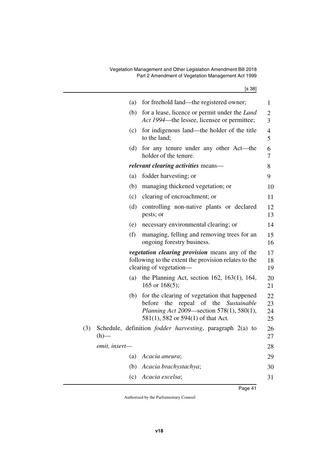|     |               | (a) | for freehold land—the registered owner;                                                                                                                                       | 1                    |
|-----|---------------|-----|-------------------------------------------------------------------------------------------------------------------------------------------------------------------------------|----------------------|
|     |               | (b) | for a lease, licence or permit under the <i>Land</i><br>Act 1994—the lessee, licensee or permittee;                                                                           | 2<br>3               |
|     |               | (c) | for indigenous land—the holder of the title<br>to the land;                                                                                                                   | 4<br>5               |
|     |               | (d) | for any tenure under any other Act—the<br>holder of the tenure.                                                                                                               | 6<br>7               |
|     |               |     | <i>relevant clearing activities</i> means—                                                                                                                                    | 8                    |
|     |               | (a) | fodder harvesting; or                                                                                                                                                         | 9                    |
|     |               | (b) | managing thickened vegetation; or                                                                                                                                             | 10                   |
|     |               | (c) | clearing of encroachment; or                                                                                                                                                  | 11                   |
|     |               | (d) | controlling non-native plants or declared<br>pests; or                                                                                                                        | 12<br>13             |
|     |               | (e) | necessary environmental clearing; or                                                                                                                                          | 14                   |
|     |               | (f) | managing, felling and removing trees for an<br>ongoing forestry business.                                                                                                     | 15<br>16             |
|     |               |     | <i>vegetation clearing provision</i> means any of the<br>following to the extent the provision relates to the<br>clearing of vegetation-                                      | 17<br>18<br>19       |
|     |               | (a) | the Planning Act, section $162$ , $163(1)$ , $164$ ,<br>165 or $168(5)$ ;                                                                                                     | 20<br>21             |
|     |               | (b) | for the clearing of vegetation that happened<br>before<br>the<br>repeal of the Sustainable<br>Planning Act 2009-section 578(1), 580(1),<br>581(1), 582 or 594(1) of that Act. | 22<br>23<br>24<br>25 |
| (3) | (h)           |     | Schedule, definition <i>fodder harvesting</i> , paragraph 2(a) to                                                                                                             | 26<br>27             |
|     | omit, insert- |     |                                                                                                                                                                               | 28                   |
|     |               | (a) | Acacia aneura;                                                                                                                                                                | 29                   |
|     |               | (b) | Acacia brachystachya;                                                                                                                                                         | 30                   |
|     |               | (c) | Acacia excelsa;                                                                                                                                                               | 31                   |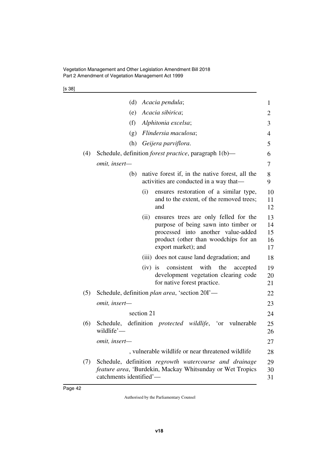[s 38]

|     | (d)                     | Acacia pendula;                                                                                                                                                                            | 1                          |
|-----|-------------------------|--------------------------------------------------------------------------------------------------------------------------------------------------------------------------------------------|----------------------------|
|     | (e)                     | Acacia sibirica;                                                                                                                                                                           | 2                          |
|     | (f)                     | Alphitonia excelsa;                                                                                                                                                                        | 3                          |
|     | (g)                     | Flindersia maculosa;                                                                                                                                                                       | $\overline{4}$             |
|     | (h)                     | Geijera parviflora.                                                                                                                                                                        | 5                          |
| (4) |                         | Schedule, definition <i>forest practice</i> , paragraph 1(b)—                                                                                                                              | 6                          |
|     | omit, insert-           |                                                                                                                                                                                            | 7                          |
|     | (b)                     | native forest if, in the native forest, all the<br>activities are conducted in a way that—                                                                                                 | 8<br>9                     |
|     |                         | ensures restoration of a similar type,<br>(i)<br>and to the extent, of the removed trees;<br>and                                                                                           | 10<br>11<br>12             |
|     |                         | (ii)<br>ensures trees are only felled for the<br>purpose of being sawn into timber or<br>processed into another value-added<br>product (other than woodchips for an<br>export market); and | 13<br>14<br>15<br>16<br>17 |
|     |                         | (iii) does not cause land degradation; and                                                                                                                                                 | 18                         |
|     |                         | consistent with the<br>$(iv)$ is<br>accepted<br>development vegetation clearing code<br>for native forest practice.                                                                        | 19<br>20<br>21             |
| (5) |                         | Schedule, definition plan area, 'section 20I'—                                                                                                                                             | 22                         |
|     | omit, insert-           |                                                                                                                                                                                            | 23                         |
|     |                         | section 21                                                                                                                                                                                 | 24                         |
| (6) | wildlife'—              | Schedule, definition <i>protected wildlife</i> , 'or vulnerable                                                                                                                            | 25<br>26                   |
|     | omit, insert—           |                                                                                                                                                                                            | 27                         |
|     |                         | , vulnerable wildlife or near threatened wildlife                                                                                                                                          | 28                         |
| (7) | catchments identified'- | Schedule, definition regrowth watercourse and drainage<br>feature area, 'Burdekin, Mackay Whitsunday or Wet Tropics                                                                        | 29<br>30<br>31             |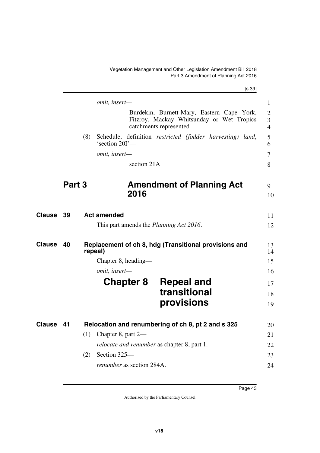<span id="page-44-7"></span><span id="page-44-1"></span>Vegetation Management and Other Legislation Amendment Bill 2018 Part 3 Amendment of Planning Act 2016

<span id="page-44-9"></span><span id="page-44-8"></span><span id="page-44-6"></span><span id="page-44-5"></span><span id="page-44-4"></span><span id="page-44-3"></span><span id="page-44-2"></span><span id="page-44-0"></span>

|                     |        |                                                    | [s 39]                                                                                                            |
|---------------------|--------|----------------------------------------------------|-------------------------------------------------------------------------------------------------------------------|
|                     |        | omit, insert-                                      |                                                                                                                   |
|                     |        |                                                    | Burdekin, Burnett-Mary, Eastern Cape York,<br>Fitzroy, Mackay Whitsunday or Wet Tropics<br>catchments represented |
|                     | (8)    | 'section 20I'-                                     | Schedule, definition restricted (fodder harvesting) land,                                                         |
|                     |        | omit, insert-                                      |                                                                                                                   |
|                     |        | section 21A                                        |                                                                                                                   |
|                     | Part 3 |                                                    | <b>Amendment of Planning Act</b>                                                                                  |
|                     |        | 2016                                               |                                                                                                                   |
| Clause<br>39        |        | <b>Act amended</b>                                 |                                                                                                                   |
|                     |        | This part amends the <i>Planning Act 2016</i> .    |                                                                                                                   |
| <b>Clause</b><br>40 |        | repeal)                                            | Replacement of ch 8, hdg (Transitional provisions and                                                             |
|                     |        | Chapter 8, heading-                                |                                                                                                                   |
|                     |        | omit, insert-                                      |                                                                                                                   |
|                     |        | <b>Chapter 8</b>                                   | <b>Repeal and</b>                                                                                                 |
|                     |        |                                                    | transitional                                                                                                      |
|                     |        |                                                    | provisions                                                                                                        |
| 41<br>Clause        |        |                                                    | Relocation and renumbering of ch 8, pt 2 and s 325                                                                |
|                     | (1)    | Chapter 8, part 2-                                 |                                                                                                                   |
|                     |        | <i>relocate and renumber</i> as chapter 8, part 1. |                                                                                                                   |
|                     | (2)    | Section 325-                                       |                                                                                                                   |
|                     |        |                                                    |                                                                                                                   |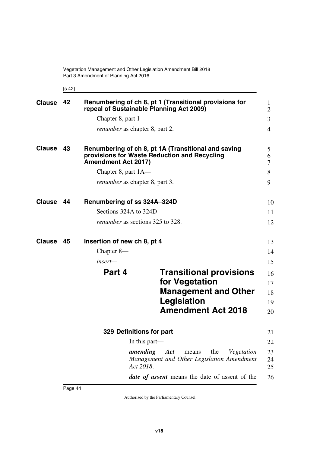<span id="page-45-9"></span><span id="page-45-3"></span><span id="page-45-1"></span><span id="page-45-0"></span>[s 42]

<span id="page-45-11"></span><span id="page-45-10"></span><span id="page-45-8"></span><span id="page-45-7"></span><span id="page-45-6"></span><span id="page-45-5"></span><span id="page-45-4"></span><span id="page-45-2"></span>

| <b>Clause</b> | 42 |                             | Renumbering of ch 8, pt 1 (Transitional provisions for<br>repeal of Sustainable Planning Act 2009)                          | 1<br>$\overline{2}$        |
|---------------|----|-----------------------------|-----------------------------------------------------------------------------------------------------------------------------|----------------------------|
|               |    | Chapter 8, part $1-$        |                                                                                                                             | $\overline{3}$             |
|               |    |                             | <i>renumber</i> as chapter 8, part 2.                                                                                       | $\overline{4}$             |
| <b>Clause</b> | 43 | <b>Amendment Act 2017)</b>  | Renumbering of ch 8, pt 1A (Transitional and saving<br>provisions for Waste Reduction and Recycling                         | 5<br>6<br>$\tau$           |
|               |    | Chapter 8, part 1A—         |                                                                                                                             | 8                          |
|               |    |                             | <i>renumber</i> as chapter 8, part 3.                                                                                       | 9                          |
| <b>Clause</b> | 44 | Renumbering of ss 324A-324D |                                                                                                                             | 10                         |
|               |    | Sections 324A to 324D-      |                                                                                                                             | 11                         |
|               |    |                             | <i>renumber</i> as sections 325 to 328.                                                                                     | 12                         |
| Clause        | 45 | Insertion of new ch 8, pt 4 |                                                                                                                             | 13                         |
|               |    | Chapter 8-                  |                                                                                                                             | 14                         |
|               |    | $insert-$                   |                                                                                                                             | 15                         |
|               |    | Part 4                      | <b>Transitional provisions</b><br>for Vegetation<br><b>Management and Other</b><br>Legislation<br><b>Amendment Act 2018</b> | 16<br>17<br>18<br>19<br>20 |
|               |    |                             | 329 Definitions for part                                                                                                    | 21                         |
|               |    |                             | In this part—                                                                                                               | 22                         |
|               |    |                             | amending<br>Act<br>the<br>Vegetation<br>means<br>Management and Other Legislation Amendment<br>Act 2018.                    | 23<br>24<br>25             |
|               |    |                             | date of assent means the date of assent of the                                                                              | 26                         |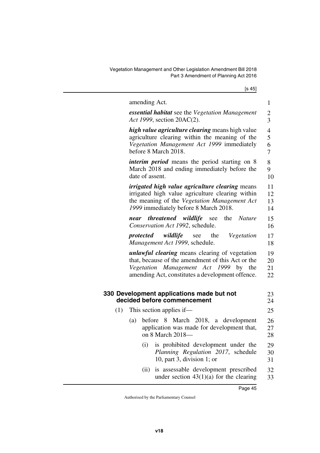Vegetation Management and Other Legislation Amendment Bill 2018 Part 3 Amendment of Planning Act 2016

[s 45]

<span id="page-46-1"></span><span id="page-46-0"></span>

|     |                 |      | amending Act.                                                                                                                                                                                           | $\mathbf{1}$                               |
|-----|-----------------|------|---------------------------------------------------------------------------------------------------------------------------------------------------------------------------------------------------------|--------------------------------------------|
|     |                 |      | <b>essential habitat</b> see the Vegetation Management<br>Act 1999, section 20AC(2).                                                                                                                    | $\overline{c}$<br>$\overline{3}$           |
|     |                 |      | high value agriculture clearing means high value<br>agriculture clearing within the meaning of the<br>Vegetation Management Act 1999 immediately<br>before 8 March 2018.                                | $\overline{4}$<br>5<br>6<br>$\overline{7}$ |
|     | date of assent. |      | <i>interim period</i> means the period starting on 8<br>March 2018 and ending immediately before the                                                                                                    | 8<br>9<br>10                               |
|     |                 |      | <i>irrigated high value agriculture clearing</i> means<br>irrigated high value agriculture clearing within<br>the meaning of the Vegetation Management Act<br>1999 immediately before 8 March 2018.     | 11<br>12<br>13<br>14                       |
|     | near            |      | <i>threatened wildlife</i> see<br>the<br><i>Nature</i><br>Conservation Act 1992, schedule.                                                                                                              | 15<br>16                                   |
|     | protected       |      | <i>wildlife</i> see<br>the<br>Vegetation<br>Management Act 1999, schedule.                                                                                                                              | 17<br>18                                   |
|     |                 |      | <i>unlawful clearing</i> means clearing of vegetation<br>that, because of the amendment of this Act or the<br>Vegetation Management Act 1999 by the<br>amending Act, constitutes a development offence. | 19<br>20<br>21<br>22                       |
|     |                 |      | 330 Development applications made but not<br>decided before commencement                                                                                                                                | 23<br>24                                   |
| (1) |                 |      | This section applies if—                                                                                                                                                                                | 25                                         |
|     | (a)             |      | before 8 March 2018, a development<br>application was made for development that,<br>on 8 March 2018-                                                                                                    | 26<br>27<br>28                             |
|     |                 | (i)  | is prohibited development under the<br>Planning Regulation 2017, schedule<br>10, part 3, division 1; or                                                                                                 | 29<br>30<br>31                             |
|     |                 | (ii) | is assessable development prescribed<br>under section $43(1)(a)$ for the clearing                                                                                                                       | 32<br>33                                   |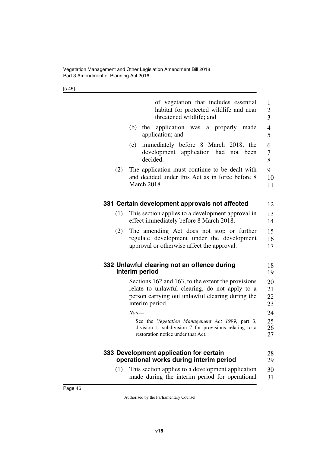[s 45]

<span id="page-47-5"></span><span id="page-47-4"></span><span id="page-47-3"></span><span id="page-47-2"></span><span id="page-47-1"></span><span id="page-47-0"></span>

|     | of vegetation that includes essential<br>habitat for protected wildlife and near<br>threatened wildlife; and                                                                | $\mathbf{1}$<br>$\overline{c}$<br>$\overline{3}$ |
|-----|-----------------------------------------------------------------------------------------------------------------------------------------------------------------------------|--------------------------------------------------|
|     | application was a properly<br>(b)<br>the<br>made<br>application; and                                                                                                        | $\overline{\mathcal{A}}$<br>5                    |
|     | immediately before 8 March 2018, the<br>(c)<br>development application had<br>not been<br>decided.                                                                          | 6<br>7<br>8                                      |
| (2) | The application must continue to be dealt with<br>and decided under this Act as in force before 8<br><b>March 2018.</b>                                                     | 9<br>10<br>11                                    |
|     | 331 Certain development approvals not affected                                                                                                                              | 12                                               |
| (1) | This section applies to a development approval in<br>effect immediately before 8 March 2018.                                                                                | 13<br>14                                         |
| (2) | The amending Act does not stop or further<br>regulate development under the development<br>approval or otherwise affect the approval.                                       | 15<br>16<br>17                                   |
|     | 332 Unlawful clearing not an offence during<br>interim period                                                                                                               | 18<br>19                                         |
|     | Sections 162 and 163, to the extent the provisions<br>relate to unlawful clearing, do not apply to a<br>person carrying out unlawful clearing during the<br>interim period. | 20<br>21<br>22<br>23                             |
|     | $Note-$                                                                                                                                                                     | 24                                               |
|     | See the Vegetation Management Act 1999, part 3,<br>division 1, subdivision 7 for provisions relating to a<br>restoration notice under that Act.                             | 25<br>26<br>27                                   |
|     | 333 Development application for certain<br>operational works during interim period                                                                                          | 28<br>29                                         |
| (1) | This section applies to a development application<br>made during the interim period for operational                                                                         | 30<br>31                                         |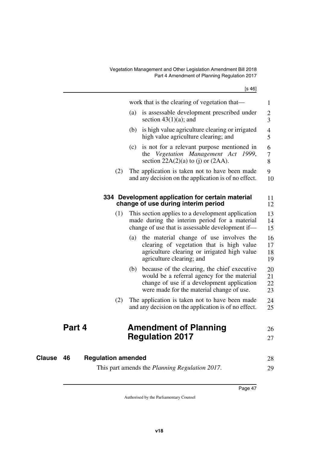<span id="page-48-1"></span><span id="page-48-0"></span>

|                           |     |     | work that is the clearing of vegetation that—                                                                                                                                          | 1                        |
|---------------------------|-----|-----|----------------------------------------------------------------------------------------------------------------------------------------------------------------------------------------|--------------------------|
|                           |     | (a) | is assessable development prescribed under<br>section $43(1)(a)$ ; and                                                                                                                 | $\overline{c}$<br>3      |
|                           |     | (b) | is high value agriculture clearing or irrigated<br>high value agriculture clearing; and                                                                                                | $\overline{4}$<br>5      |
|                           |     | (c) | is not for a relevant purpose mentioned in<br>Vegetation Management Act<br>1999,<br>the<br>section $22A(2)(a)$ to (j) or $(2AA)$ .                                                     | 6<br>$\overline{7}$<br>8 |
|                           | (2) |     | The application is taken not to have been made<br>and any decision on the application is of no effect.                                                                                 | 9<br>10                  |
|                           |     |     | 334 Development application for certain material<br>change of use during interim period                                                                                                | 11<br>12                 |
|                           | (1) |     | This section applies to a development application<br>made during the interim period for a material<br>change of use that is assessable development if-                                 | 13<br>14<br>15           |
|                           |     | (a) | the material change of use involves the<br>clearing of vegetation that is high value<br>agriculture clearing or irrigated high value<br>agriculture clearing; and                      | 16<br>17<br>18<br>19     |
|                           |     | (b) | because of the clearing, the chief executive<br>would be a referral agency for the material<br>change of use if a development application<br>were made for the material change of use. | 20<br>21<br>22<br>23     |
|                           | (2) |     | The application is taken not to have been made<br>and any decision on the application is of no effect.                                                                                 | 24<br>25                 |
|                           |     |     | <b>Amendment of Planning</b>                                                                                                                                                           | 26                       |
|                           |     |     | <b>Regulation 2017</b>                                                                                                                                                                 | 27                       |
| <b>Regulation amended</b> |     |     |                                                                                                                                                                                        | 28                       |
|                           |     |     | This part amends the <i>Planning Regulation 2017</i> .                                                                                                                                 | 29                       |

<span id="page-48-5"></span><span id="page-48-3"></span>This part amends the *Planning Regulation 2017*.

<span id="page-48-4"></span><span id="page-48-2"></span>**Part 4** 

**Clause** 46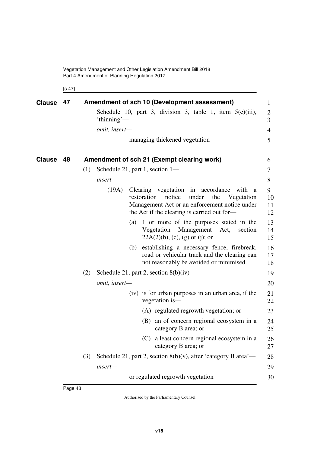Vegetation Management and Other Legislation Amendment Bill 2018 Part 4 Amendment of Planning Regulation 2017

<span id="page-49-3"></span><span id="page-49-1"></span><span id="page-49-0"></span>[s 47]

<span id="page-49-2"></span>

| <b>Clause</b> | 47 | Amendment of sch 10 (Development assessment)                                                                                                                                                                | $\mathbf{1}$                     |
|---------------|----|-------------------------------------------------------------------------------------------------------------------------------------------------------------------------------------------------------------|----------------------------------|
|               |    | Schedule 10, part 3, division 3, table 1, item $5(c)(iii)$ ,<br>'thinning'—                                                                                                                                 | $\overline{2}$<br>$\overline{3}$ |
|               |    | omit, insert-                                                                                                                                                                                               | $\overline{4}$                   |
|               |    | managing thickened vegetation                                                                                                                                                                               | 5                                |
| <b>Clause</b> | 48 | Amendment of sch 21 (Exempt clearing work)                                                                                                                                                                  | 6                                |
|               |    | (1)<br>Schedule 21, part 1, section 1-                                                                                                                                                                      | $\tau$                           |
|               |    | insert—                                                                                                                                                                                                     | 8                                |
|               |    | (19A)<br>Clearing vegetation in accordance with<br>a<br>restoration<br>notice<br>under<br>the<br>Vegetation<br>Management Act or an enforcement notice under<br>the Act if the clearing is carried out for- | 9<br>10<br>11<br>12              |
|               |    | 1 or more of the purposes stated in the<br>(a)<br>Vegetation<br>Management<br>Act,<br>section<br>$22A(2)(b)$ , (c), (g) or (j); or                                                                          | 13<br>14<br>15                   |
|               |    | establishing a necessary fence, firebreak,<br>(b)<br>road or vehicular track and the clearing can<br>not reasonably be avoided or minimised.                                                                | 16<br>17<br>18                   |
|               |    | (2)<br>Schedule 21, part 2, section $8(b)(iv)$ —                                                                                                                                                            | 19                               |
|               |    | omit, insert-                                                                                                                                                                                               | 20                               |
|               |    | (iv) is for urban purposes in an urban area, if the<br>vegetation is-                                                                                                                                       | 21<br>22                         |
|               |    | (A) regulated regrowth vegetation; or                                                                                                                                                                       | 23                               |
|               |    | (B) an of concern regional ecosystem in a<br>category B area; or                                                                                                                                            | 24<br>25                         |
|               |    | (C) a least concern regional ecosystem in a<br>category B area; or                                                                                                                                          | 26<br>27                         |
|               |    | Schedule 21, part 2, section $8(b)(v)$ , after 'category B area'—<br>(3)                                                                                                                                    | 28                               |
|               |    | insert-                                                                                                                                                                                                     | 29                               |
|               |    | or regulated regrowth vegetation                                                                                                                                                                            | 30                               |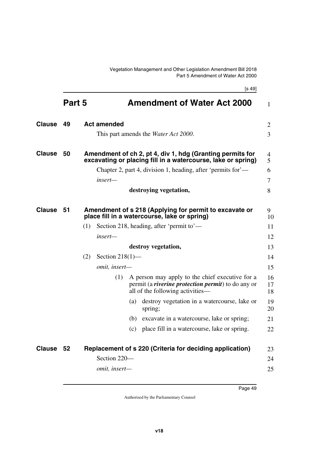[s 49]

<span id="page-50-9"></span><span id="page-50-8"></span><span id="page-50-7"></span><span id="page-50-6"></span><span id="page-50-5"></span><span id="page-50-4"></span><span id="page-50-3"></span><span id="page-50-2"></span><span id="page-50-1"></span><span id="page-50-0"></span>

|               | Part 5 |     |                                                                    |     | <b>Amendment of Water Act 2000</b>                                                                                                                | $\mathbf{1}$   |  |
|---------------|--------|-----|--------------------------------------------------------------------|-----|---------------------------------------------------------------------------------------------------------------------------------------------------|----------------|--|
| <b>Clause</b> | 49     |     | <b>Act amended</b><br>This part amends the <i>Water Act 2000</i> . |     |                                                                                                                                                   |                |  |
| <b>Clause</b> | 50     |     |                                                                    |     | Amendment of ch 2, pt 4, div 1, hdg (Granting permits for<br>excavating or placing fill in a watercourse, lake or spring)                         | 4<br>5         |  |
|               |        |     |                                                                    |     | Chapter 2, part 4, division 1, heading, after 'permits for'—                                                                                      | 6              |  |
|               |        |     | insert—                                                            |     |                                                                                                                                                   | 7              |  |
|               |        |     |                                                                    |     | destroying vegetation,                                                                                                                            | 8              |  |
| <b>Clause</b> | 51     |     |                                                                    |     | Amendment of s 218 (Applying for permit to excavate or<br>place fill in a watercourse, lake or spring)                                            | 9<br>10        |  |
|               |        | (1) |                                                                    |     | Section 218, heading, after 'permit to'—                                                                                                          | 11             |  |
|               |        |     | insert-                                                            |     |                                                                                                                                                   | 12             |  |
|               |        |     |                                                                    |     | destroy vegetation,                                                                                                                               | 13             |  |
|               |        | (2) | Section $218(1)$ —                                                 |     |                                                                                                                                                   | 14             |  |
|               |        |     | omit, insert-                                                      |     |                                                                                                                                                   | 15             |  |
|               |        |     | (1)                                                                |     | A person may apply to the chief executive for a<br>permit (a <i>riverine protection permit</i> ) to do any or<br>all of the following activities— | 16<br>17<br>18 |  |
|               |        |     |                                                                    | (a) | destroy vegetation in a watercourse, lake or<br>spring;                                                                                           | 19<br>20       |  |
|               |        |     |                                                                    |     | (b) excavate in a watercourse, lake or spring;                                                                                                    | 21             |  |
|               |        |     |                                                                    | (c) | place fill in a watercourse, lake or spring.                                                                                                      | 22             |  |
| Clause 52     |        |     |                                                                    |     | Replacement of s 220 (Criteria for deciding application)                                                                                          | 23             |  |
|               |        |     | Section 220-                                                       |     |                                                                                                                                                   | 24             |  |
|               |        |     | omit, insert-                                                      |     |                                                                                                                                                   | 25             |  |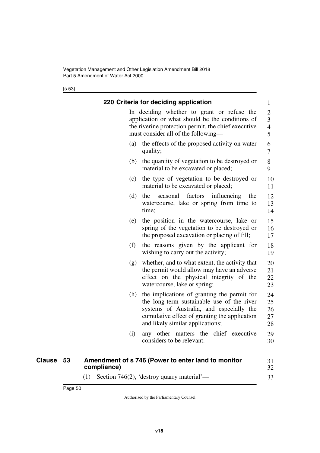<span id="page-51-1"></span><span id="page-51-0"></span>[s 53]

|               |    |             |     | 220 Criteria for deciding application                                                                                                                                                                                      | 1                                                    |
|---------------|----|-------------|-----|----------------------------------------------------------------------------------------------------------------------------------------------------------------------------------------------------------------------------|------------------------------------------------------|
|               |    |             |     | In deciding whether to grant or refuse the<br>application or what should be the conditions of<br>the riverine protection permit, the chief executive<br>must consider all of the following—                                | $\overline{c}$<br>3<br>$\overline{\mathcal{L}}$<br>5 |
|               |    |             | (a) | the effects of the proposed activity on water<br>quality;                                                                                                                                                                  | 6<br>7                                               |
|               |    |             |     | (b) the quantity of vegetation to be destroyed or<br>material to be excavated or placed;                                                                                                                                   | 8<br>9                                               |
|               |    |             | (c) | the type of vegetation to be destroyed or<br>material to be excavated or placed;                                                                                                                                           | 10<br>11                                             |
|               |    |             | (d) | the<br>factors<br>influencing<br>the<br>seasonal<br>watercourse, lake or spring from time to<br>time;                                                                                                                      | 12<br>13<br>14                                       |
|               |    |             | (e) | the position in the watercourse, lake or<br>spring of the vegetation to be destroyed or<br>the proposed excavation or placing of fill;                                                                                     | 15<br>16<br>17                                       |
|               |    |             | (f) | the reasons given by the applicant for<br>wishing to carry out the activity;                                                                                                                                               | 18<br>19                                             |
|               |    |             |     | (g) whether, and to what extent, the activity that<br>the permit would allow may have an adverse<br>effect on the physical integrity of the<br>watercourse, lake or spring;                                                | 20<br>21<br>22<br>23                                 |
|               |    |             | (h) | the implications of granting the permit for<br>the long-term sustainable use of the river<br>systems of Australia, and especially the<br>cumulative effect of granting the application<br>and likely similar applications; | 24<br>25<br>26<br>27<br>28                           |
|               |    | (i)         |     | any other matters the chief executive<br>considers to be relevant.                                                                                                                                                         | 29<br>30                                             |
| <b>Clause</b> | 53 | compliance) |     | Amendment of s 746 (Power to enter land to monitor                                                                                                                                                                         | 31<br>32                                             |
|               |    |             |     | $(1)$ Section 746(2), 'destroy quarry material'—                                                                                                                                                                           | 33                                                   |

<span id="page-51-3"></span><span id="page-51-2"></span>(1) Section 746(2), 'destroy quarry material'—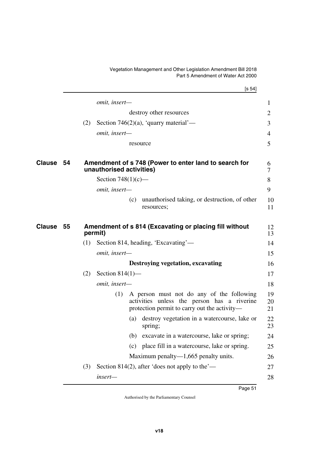Vegetation Management and Other Legislation Amendment Bill 2018 Part 5 Amendment of Water Act 2000

<span id="page-52-3"></span><span id="page-52-2"></span><span id="page-52-1"></span><span id="page-52-0"></span>

|                     |     |                          | [s 54]                                                                                                                                   |
|---------------------|-----|--------------------------|------------------------------------------------------------------------------------------------------------------------------------------|
|                     |     | omit, insert-            |                                                                                                                                          |
|                     |     |                          | destroy other resources                                                                                                                  |
|                     | (2) |                          | Section 746(2)(a), 'quarry material'—                                                                                                    |
|                     |     | omit, insert-            |                                                                                                                                          |
|                     |     |                          | resource                                                                                                                                 |
| Clause<br>54        |     | unauthorised activities) | Amendment of s 748 (Power to enter land to search for                                                                                    |
|                     |     | Section $748(1)(c)$ —    |                                                                                                                                          |
|                     |     | omit, insert-            |                                                                                                                                          |
|                     |     |                          | unauthorised taking, or destruction, of other<br>(c)<br>resources;                                                                       |
| <b>Clause</b><br>55 |     | permit)                  | Amendment of s 814 (Excavating or placing fill without                                                                                   |
|                     | (1) |                          | Section 814, heading, 'Excavating'—                                                                                                      |
|                     |     | omit, insert-            |                                                                                                                                          |
|                     |     |                          | Destroying vegetation, excavating                                                                                                        |
|                     | (2) | Section $814(1)$ —       |                                                                                                                                          |
|                     |     | omit, insert-            |                                                                                                                                          |
|                     |     | (1)                      | A person must not do any of the following<br>activities unless the person has a riverine<br>protection permit to carry out the activity— |
|                     |     |                          | destroy vegetation in a watercourse, lake or<br>(a)<br>spring;                                                                           |
|                     |     |                          | (b)<br>excavate in a watercourse, lake or spring;                                                                                        |
|                     |     |                          | place fill in a watercourse, lake or spring.<br>(c)                                                                                      |
|                     |     |                          | Maximum penalty— $1,665$ penalty units.                                                                                                  |
|                     | (3) |                          | Section 814(2), after 'does not apply to the'—                                                                                           |
|                     |     | insert-                  |                                                                                                                                          |
|                     |     |                          |                                                                                                                                          |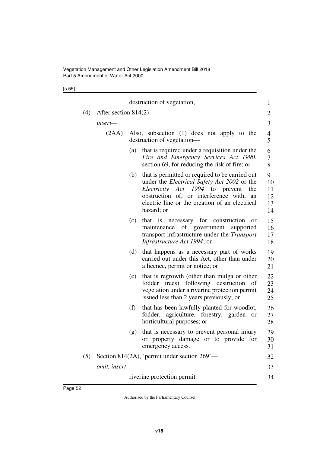[s 55]

|     |                                                 |                                                                          | destruction of vegetation,                                                                                                                                                                                                                                            | $\mathbf{1}$                    |  |  |
|-----|-------------------------------------------------|--------------------------------------------------------------------------|-----------------------------------------------------------------------------------------------------------------------------------------------------------------------------------------------------------------------------------------------------------------------|---------------------------------|--|--|
| (4) | After section $814(2)$ —                        |                                                                          |                                                                                                                                                                                                                                                                       |                                 |  |  |
|     | insert—                                         |                                                                          |                                                                                                                                                                                                                                                                       | 3                               |  |  |
|     | (2AA)                                           | Also, subsection (1) does not apply to the<br>destruction of vegetation— |                                                                                                                                                                                                                                                                       |                                 |  |  |
|     |                                                 | (a)                                                                      | that is required under a requisition under the<br>Fire and Emergency Services Act 1990,<br>section 69, for reducing the risk of fire; or                                                                                                                              | 6<br>7<br>8                     |  |  |
|     |                                                 | (b)                                                                      | that is permitted or required to be carried out<br>under the <i>Electrical Safety Act 2002</i> or the<br><i>Electricity Act 1994</i> to prevent<br>the<br>obstruction of, or interference with,<br>an<br>electric line or the creation of an electrical<br>hazard; or | 9<br>10<br>11<br>12<br>13<br>14 |  |  |
|     |                                                 | (c)                                                                      | that is necessary for construction<br>or<br>of government<br>maintenance<br>supported<br>transport infrastructure under the <i>Transport</i><br><i>Infrastructure Act 1994</i> ; or                                                                                   | 15<br>16<br>17<br>18            |  |  |
|     |                                                 | (d)                                                                      | that happens as a necessary part of works<br>carried out under this Act, other than under<br>a licence, permit or notice; or                                                                                                                                          | 19<br>20<br>21                  |  |  |
|     |                                                 | (e)                                                                      | that is regrowth (other than mulga or other<br>fodder trees) following destruction<br>of<br>vegetation under a riverine protection permit<br>issued less than 2 years previously; or                                                                                  | 22<br>23<br>24<br>25            |  |  |
|     |                                                 | (f)                                                                      | that has been lawfully planted for woodlot,<br>fodder, agriculture, forestry, garden<br><b>or</b><br>horticultural purposes; or                                                                                                                                       | 26<br>27<br>28                  |  |  |
|     |                                                 | (g)                                                                      | that is necessary to prevent personal injury<br>or property damage or to provide for<br>emergency access.                                                                                                                                                             | 29<br>30<br>31                  |  |  |
| (5) | Section 814(2A), 'permit under section $269'$ — |                                                                          |                                                                                                                                                                                                                                                                       |                                 |  |  |
|     | omit, insert-                                   |                                                                          |                                                                                                                                                                                                                                                                       |                                 |  |  |
|     | riverine protection permit                      |                                                                          |                                                                                                                                                                                                                                                                       |                                 |  |  |